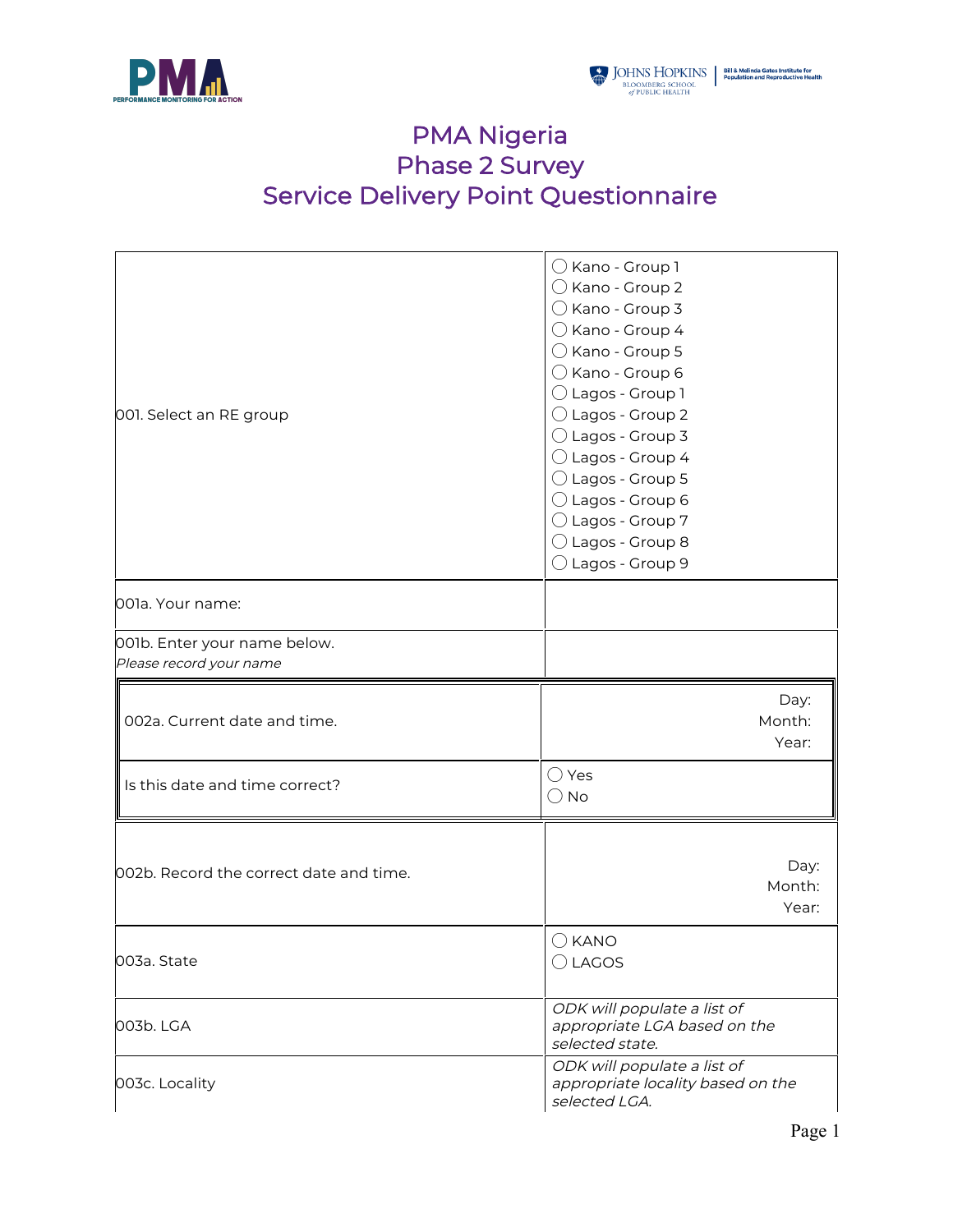

## PMA Nigeria Phase 2 Survey Service Delivery Point Questionnaire

| 001. Select an RE group                                 | $\bigcirc$ Kano - Group 1<br>$\bigcirc$ Kano - Group 2<br>$\bigcirc$ Kano - Group 3<br>$\bigcirc$ Kano - Group 4<br>$\bigcirc$ Kano - Group 5<br>$\bigcirc$ Kano - Group 6<br>◯ Lagos - Group 1<br>$\bigcirc$ Lagos - Group 2<br>$\bigcirc$ Lagos - Group 3<br>$\bigcirc$ Lagos - Group 4<br>$\bigcirc$ Lagos - Group 5<br>◯ Lagos - Group 6<br>$\bigcirc$ Lagos - Group 7<br>$\bigcirc$ Lagos - Group 8<br>$\bigcirc$ Lagos - Group 9 |
|---------------------------------------------------------|----------------------------------------------------------------------------------------------------------------------------------------------------------------------------------------------------------------------------------------------------------------------------------------------------------------------------------------------------------------------------------------------------------------------------------------|
| 001a. Your name:                                        |                                                                                                                                                                                                                                                                                                                                                                                                                                        |
| 001b. Enter your name below.<br>Please record your name |                                                                                                                                                                                                                                                                                                                                                                                                                                        |
| 002a. Current date and time.                            | Day:<br>Month:<br>Year:                                                                                                                                                                                                                                                                                                                                                                                                                |
| Is this date and time correct?                          | $\bigcirc$ Yes<br>○ No                                                                                                                                                                                                                                                                                                                                                                                                                 |
| 002b. Record the correct date and time.                 | Day:<br>Month:<br>Year:                                                                                                                                                                                                                                                                                                                                                                                                                |
| 003a. State                                             | $\bigcirc$ kano<br>$\bigcirc$ LAGOS                                                                                                                                                                                                                                                                                                                                                                                                    |
| 003b. LGA                                               | ODK will populate a list of<br>appropriate LGA based on the<br>selected state.                                                                                                                                                                                                                                                                                                                                                         |
| 003c. Locality                                          | ODK will populate a list of<br>appropriate locality based on the<br>selected LGA.                                                                                                                                                                                                                                                                                                                                                      |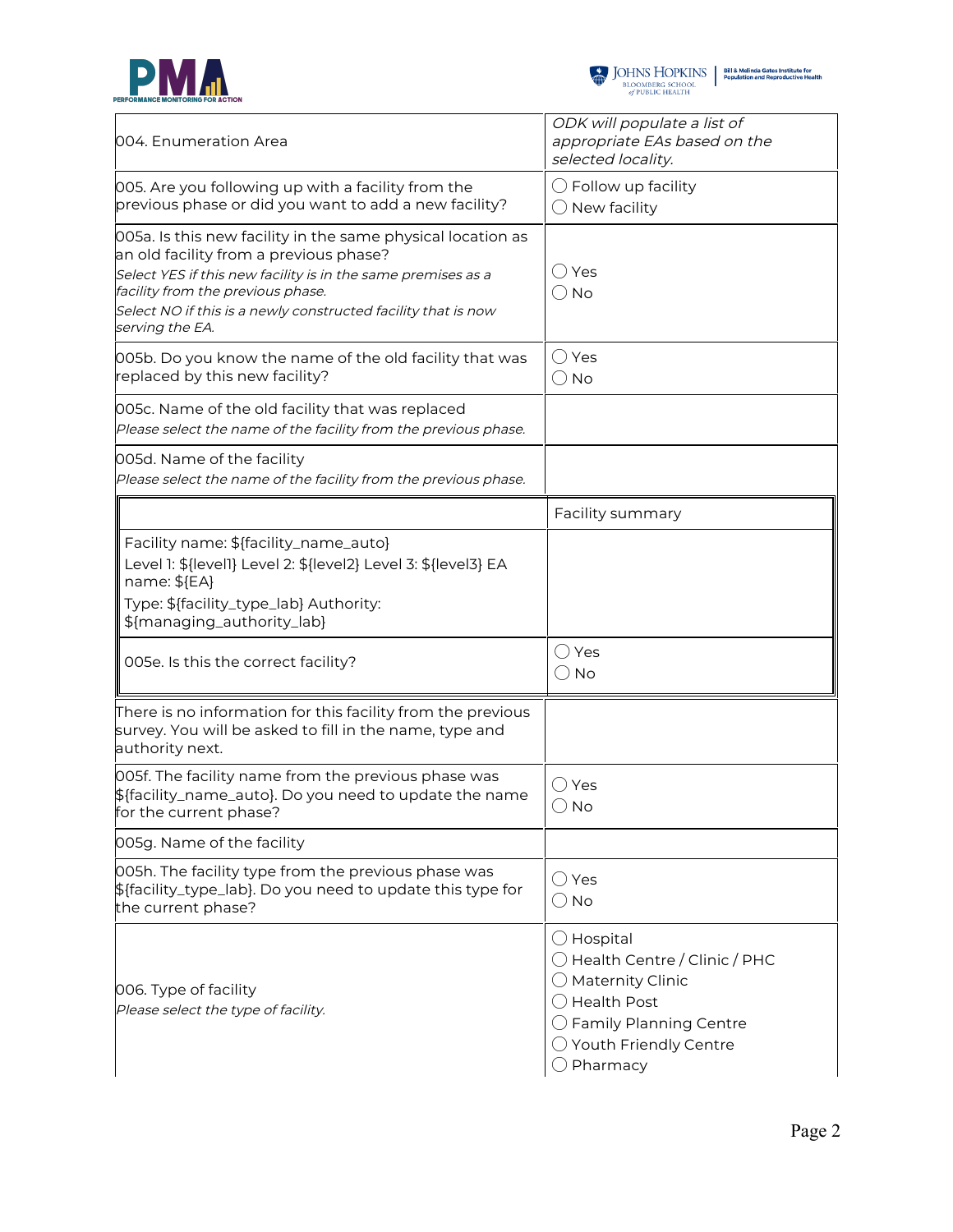



| 004. Enumeration Area                                                                                                                                                                                                                                                                          | ODK will populate a list of<br>appropriate EAs based on the<br>selected locality.                                                                                                                             |
|------------------------------------------------------------------------------------------------------------------------------------------------------------------------------------------------------------------------------------------------------------------------------------------------|---------------------------------------------------------------------------------------------------------------------------------------------------------------------------------------------------------------|
| 005. Are you following up with a facility from the<br>previous phase or did you want to add a new facility?                                                                                                                                                                                    | $\bigcirc$ Follow up facility<br>$\bigcirc$ New facility                                                                                                                                                      |
| 005a. Is this new facility in the same physical location as<br>an old facility from a previous phase?<br>Select YES if this new facility is in the same premises as a<br>facility from the previous phase.<br>Select NO if this is a newly constructed facility that is now<br>serving the EA. | ◯ Yes<br>$\bigcirc$ No                                                                                                                                                                                        |
| 005b. Do you know the name of the old facility that was<br>replaced by this new facility?                                                                                                                                                                                                      | ◯ Yes<br>$\bigcirc$ No                                                                                                                                                                                        |
| 005c. Name of the old facility that was replaced<br>Please select the name of the facility from the previous phase.                                                                                                                                                                            |                                                                                                                                                                                                               |
| 005d. Name of the facility<br>Please select the name of the facility from the previous phase.                                                                                                                                                                                                  |                                                                                                                                                                                                               |
|                                                                                                                                                                                                                                                                                                | Facility summary                                                                                                                                                                                              |
| Facility name: \${facility_name_auto}<br>Level 1: \${level1} Level 2: \${level2} Level 3: \${level3} EA<br>name: \${EA}<br>Type: \${facility_type_lab} Authority:<br>\${managing_authority_lab}                                                                                                |                                                                                                                                                                                                               |
| 005e. Is this the correct facility?                                                                                                                                                                                                                                                            | $\bigcirc$ Yes<br>$\bigcirc$ No                                                                                                                                                                               |
| There is no information for this facility from the previous<br>survey. You will be asked to fill in the name, type and<br>authority next.                                                                                                                                                      |                                                                                                                                                                                                               |
| 005f. The facility name from the previous phase was<br>\${facility_name_auto}. Do you need to update the name<br>for the current phase?                                                                                                                                                        | ( )Yes<br>$\bigcirc$ No                                                                                                                                                                                       |
| 005g. Name of the facility                                                                                                                                                                                                                                                                     |                                                                                                                                                                                                               |
| 005h. The facility type from the previous phase was<br>\${facility_type_lab}. Do you need to update this type for<br>the current phase?                                                                                                                                                        | $\bigcirc$ Yes<br>$\bigcirc$ No                                                                                                                                                                               |
| 006. Type of facility<br>Please select the type of facility.                                                                                                                                                                                                                                   | $\bigcirc$ Hospital<br>$\bigcirc$ Health Centre / Clinic / PHC<br>$\bigcirc$ Maternity Clinic<br>◯ Health Post<br>$\bigcirc$ Family Planning Centre<br>$\bigcirc$ Youth Friendly Centre<br>$\supset$ Pharmacy |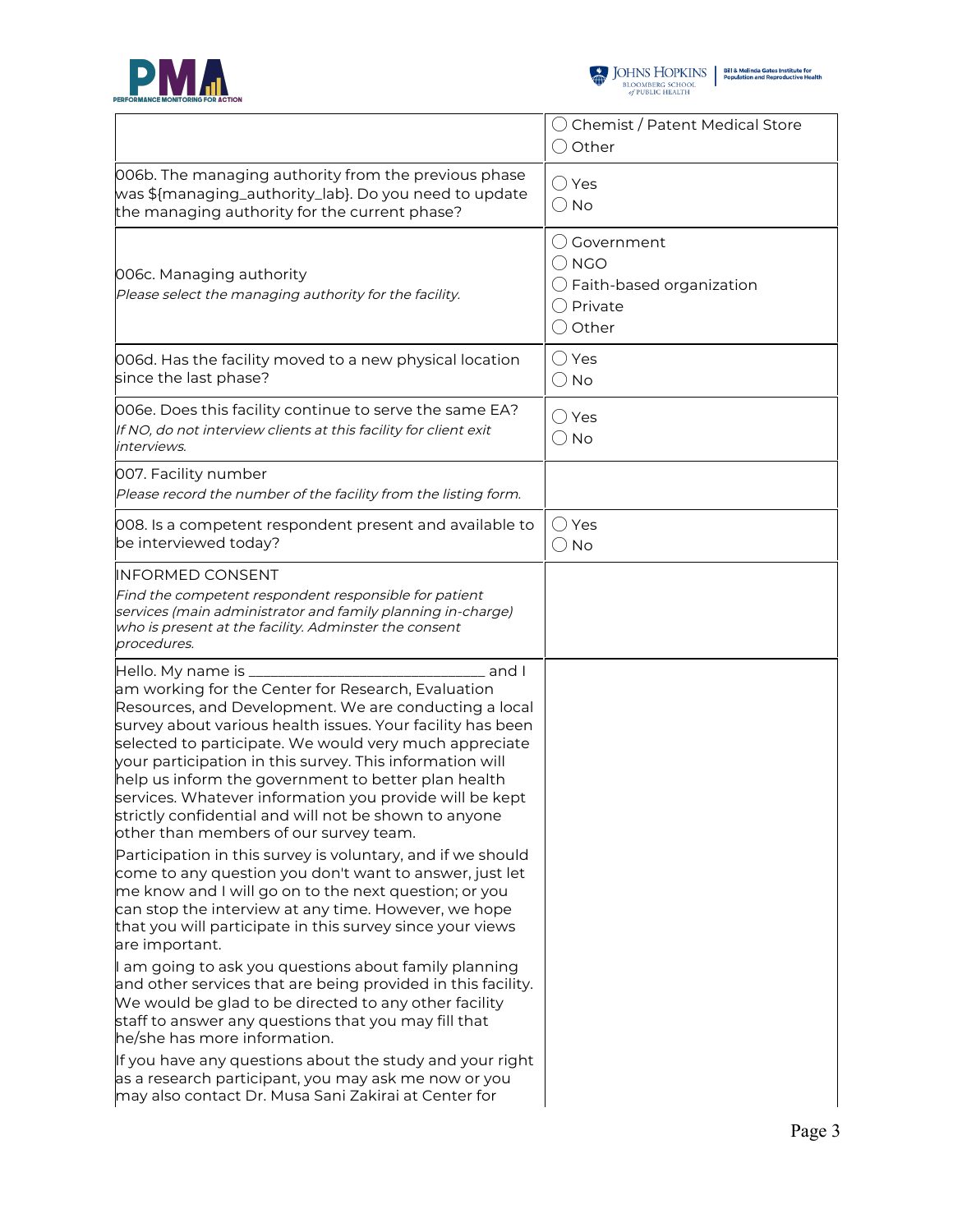



|                                                                                                                                                                                                                                                                                                                                                                                                                                                                                                                                                        | ◯ Chemist / Patent Medical Store<br>$\bigcirc$ Other                                                    |
|--------------------------------------------------------------------------------------------------------------------------------------------------------------------------------------------------------------------------------------------------------------------------------------------------------------------------------------------------------------------------------------------------------------------------------------------------------------------------------------------------------------------------------------------------------|---------------------------------------------------------------------------------------------------------|
| 006b. The managing authority from the previous phase<br>was \${managing_authority_lab}. Do you need to update<br>the managing authority for the current phase?                                                                                                                                                                                                                                                                                                                                                                                         | ◯ Yes<br>() No                                                                                          |
| 006c. Managing authority<br>Please select the managing authority for the facility.                                                                                                                                                                                                                                                                                                                                                                                                                                                                     | () Government<br>$\bigcirc$ NGO<br>$\bigcirc$ Faith-based organization<br>◯ Private<br>$\bigcirc$ Other |
| 006d. Has the facility moved to a new physical location<br>since the last phase?                                                                                                                                                                                                                                                                                                                                                                                                                                                                       | $\bigcirc$ Yes<br>$\bigcirc$ No                                                                         |
| 006e. Does this facility continue to serve the same EA?<br>If NO, do not interview clients at this facility for client exit<br>interviews.                                                                                                                                                                                                                                                                                                                                                                                                             | ○ Yes<br>$\bigcirc$ No                                                                                  |
| 007. Facility number<br>Please record the number of the facility from the listing form.                                                                                                                                                                                                                                                                                                                                                                                                                                                                |                                                                                                         |
| 008. Is a competent respondent present and available to<br>be interviewed today?                                                                                                                                                                                                                                                                                                                                                                                                                                                                       | ○ Yes<br>$\bigcirc$ No                                                                                  |
| <b>INFORMED CONSENT</b><br>Find the competent respondent responsible for patient<br>services (main administrator and family planning in-charge)<br>who is present at the facility. Adminster the consent<br>procedures.                                                                                                                                                                                                                                                                                                                                |                                                                                                         |
| _ and I<br>Hello. My name is _<br>am working for the Center for Research, Evaluation<br>Resources, and Development. We are conducting a local<br>survey about various health issues. Your facility has been<br>selected to participate. We would very much appreciate<br>your participation in this survey. This information will<br>help us inform the government to better plan health<br>services. Whatever information you provide will be kept<br>strictly confidential and will not be shown to anyone<br>other than members of our survey team. |                                                                                                         |
| Participation in this survey is voluntary, and if we should<br>come to any question you don't want to answer, just let<br>me know and I will go on to the next question; or you<br>can stop the interview at any time. However, we hope<br>that you will participate in this survey since your views<br>are important.                                                                                                                                                                                                                                 |                                                                                                         |
| I am going to ask you questions about family planning<br>and other services that are being provided in this facility.<br>We would be glad to be directed to any other facility<br>staff to answer any questions that you may fill that<br>he/she has more information.                                                                                                                                                                                                                                                                                 |                                                                                                         |
| If you have any questions about the study and your right<br>as a research participant, you may ask me now or you<br>may also contact Dr. Musa Sani Zakirai at Center for                                                                                                                                                                                                                                                                                                                                                                               |                                                                                                         |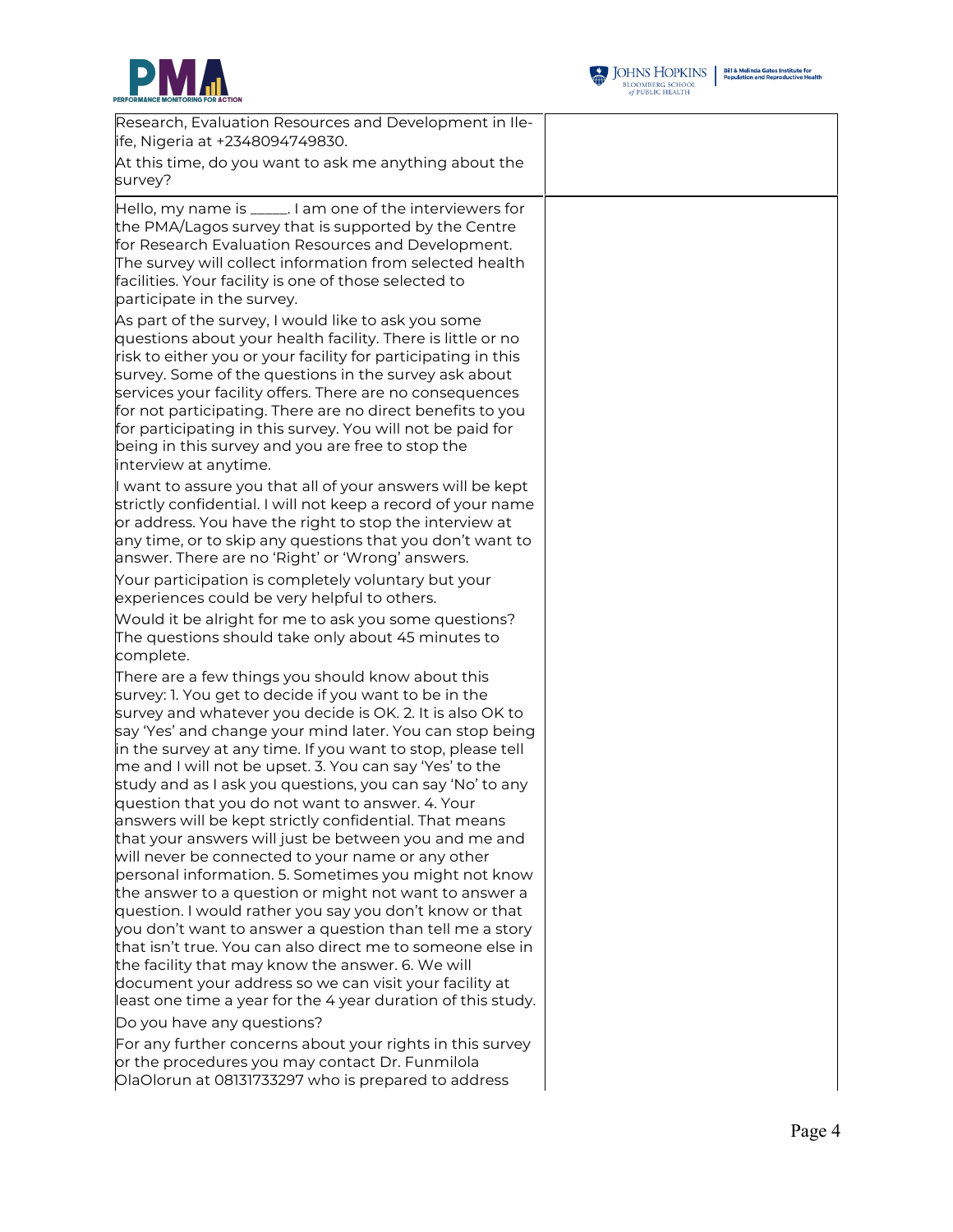



| Research, Evaluation Resources and Development in Ile-<br>ife, Nigeria at +2348094749830.                                                                                                                                                                                                                                                                                                                                                                                                                                                                                                                                                                                                                                                                                                                                                                                                                                                                                                                                                                                                                                                                                   |  |
|-----------------------------------------------------------------------------------------------------------------------------------------------------------------------------------------------------------------------------------------------------------------------------------------------------------------------------------------------------------------------------------------------------------------------------------------------------------------------------------------------------------------------------------------------------------------------------------------------------------------------------------------------------------------------------------------------------------------------------------------------------------------------------------------------------------------------------------------------------------------------------------------------------------------------------------------------------------------------------------------------------------------------------------------------------------------------------------------------------------------------------------------------------------------------------|--|
| At this time, do you want to ask me anything about the<br>survey?                                                                                                                                                                                                                                                                                                                                                                                                                                                                                                                                                                                                                                                                                                                                                                                                                                                                                                                                                                                                                                                                                                           |  |
| Hello, my name is _____. I am one of the interviewers for<br>the PMA/Lagos survey that is supported by the Centre<br>for Research Evaluation Resources and Development.<br>The survey will collect information from selected health<br>facilities. Your facility is one of those selected to<br>participate in the survey.                                                                                                                                                                                                                                                                                                                                                                                                                                                                                                                                                                                                                                                                                                                                                                                                                                                  |  |
| As part of the survey, I would like to ask you some<br>questions about your health facility. There is little or no<br>risk to either you or your facility for participating in this<br>survey. Some of the questions in the survey ask about<br>services your facility offers. There are no consequences<br>for not participating. There are no direct benefits to you<br>for participating in this survey. You will not be paid for<br>being in this survey and you are free to stop the<br>interview at anytime.                                                                                                                                                                                                                                                                                                                                                                                                                                                                                                                                                                                                                                                          |  |
| I want to assure you that all of your answers will be kept<br>strictly confidential. I will not keep a record of your name<br>or address. You have the right to stop the interview at<br>any time, or to skip any questions that you don't want to<br>answer. There are no 'Right' or 'Wrong' answers.                                                                                                                                                                                                                                                                                                                                                                                                                                                                                                                                                                                                                                                                                                                                                                                                                                                                      |  |
| Your participation is completely voluntary but your<br>experiences could be very helpful to others.                                                                                                                                                                                                                                                                                                                                                                                                                                                                                                                                                                                                                                                                                                                                                                                                                                                                                                                                                                                                                                                                         |  |
| Would it be alright for me to ask you some questions?<br>The questions should take only about 45 minutes to<br>complete.                                                                                                                                                                                                                                                                                                                                                                                                                                                                                                                                                                                                                                                                                                                                                                                                                                                                                                                                                                                                                                                    |  |
| There are a few things you should know about this<br>survey: 1. You get to decide if you want to be in the<br>survey and whatever you decide is OK. 2. It is also OK to<br>say 'Yes' and change your mind later. You can stop being<br>in the survey at any time. If you want to stop, please tell<br>me and I will not be upset. 3. You can say 'Yes' to the<br>study and as I ask you questions, you can say 'No' to any<br>question that you do not want to answer. 4. Your<br>answers will be kept strictly confidential. That means<br>that your answers will just be between you and me and<br>will never be connected to your name or any other<br>personal information. 5. Sometimes you might not know<br>the answer to a question or might not want to answer a<br>question. I would rather you say you don't know or that<br>you don't want to answer a question than tell me a story<br>that isn't true. You can also direct me to someone else in<br>the facility that may know the answer. 6. We will<br>document your address so we can visit your facility at<br>least one time a year for the 4 year duration of this study.<br>Do you have any questions? |  |
| For any further concerns about your rights in this survey<br>or the procedures you may contact Dr. Funmilola<br>OlaOlorun at 08131733297 who is prepared to address                                                                                                                                                                                                                                                                                                                                                                                                                                                                                                                                                                                                                                                                                                                                                                                                                                                                                                                                                                                                         |  |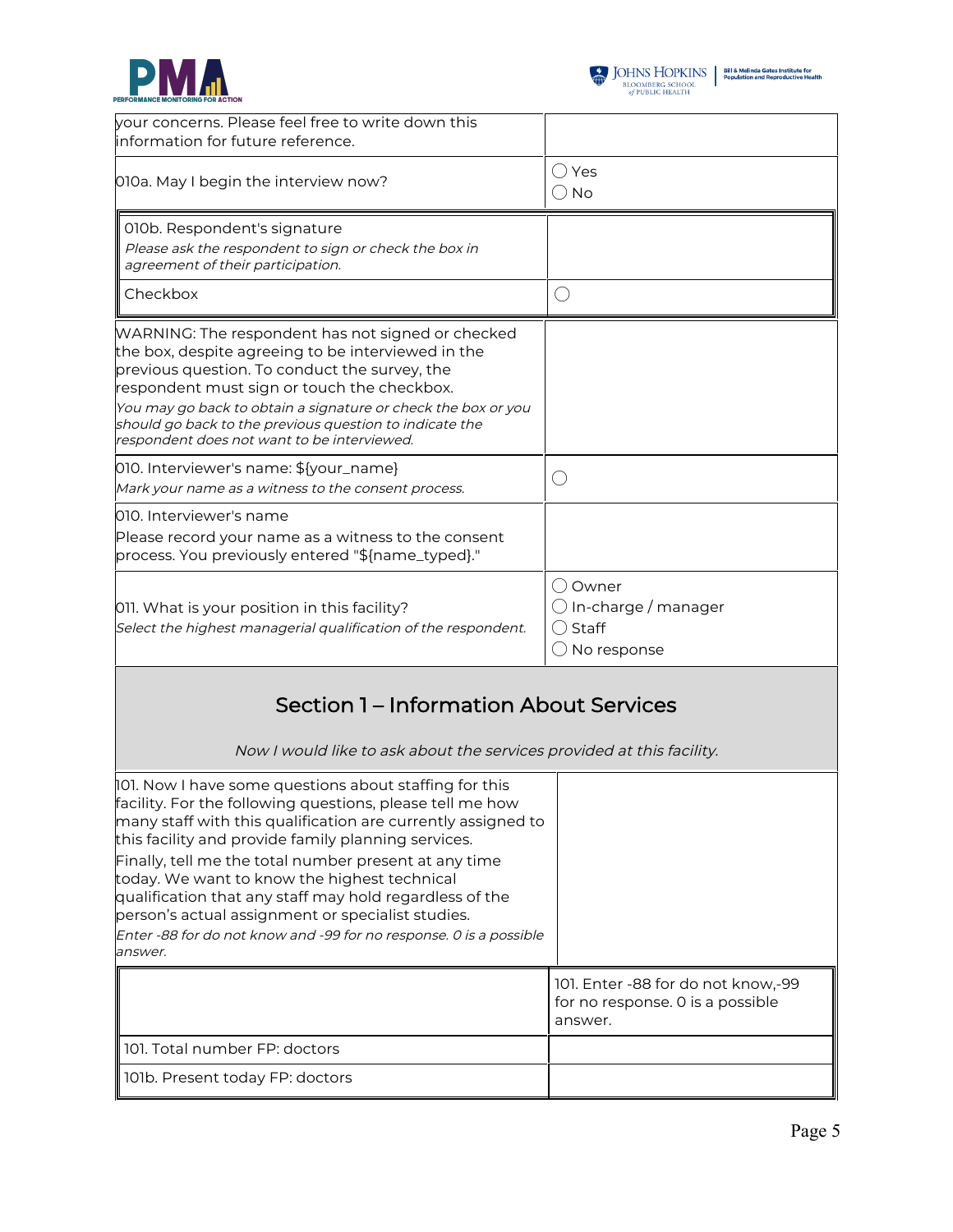

| your concerns. Please feel free to write down this<br>information for future reference.                                                                                                                                                                                                                                                                                                                                                                                                                                                              |                                                                                   |
|------------------------------------------------------------------------------------------------------------------------------------------------------------------------------------------------------------------------------------------------------------------------------------------------------------------------------------------------------------------------------------------------------------------------------------------------------------------------------------------------------------------------------------------------------|-----------------------------------------------------------------------------------|
| 010a. May I begin the interview now?                                                                                                                                                                                                                                                                                                                                                                                                                                                                                                                 | ○ Yes<br>∪ No                                                                     |
| 010b. Respondent's signature<br>Please ask the respondent to sign or check the box in<br>agreement of their participation.                                                                                                                                                                                                                                                                                                                                                                                                                           |                                                                                   |
| Checkbox                                                                                                                                                                                                                                                                                                                                                                                                                                                                                                                                             | O                                                                                 |
| WARNING: The respondent has not signed or checked<br>the box, despite agreeing to be interviewed in the<br>previous question. To conduct the survey, the<br>respondent must sign or touch the checkbox.<br>You may go back to obtain a signature or check the box or you<br>should go back to the previous question to indicate the<br>respondent does not want to be interviewed.                                                                                                                                                                   |                                                                                   |
| 010. Interviewer's name: \${your_name}<br>Mark your name as a witness to the consent process.                                                                                                                                                                                                                                                                                                                                                                                                                                                        | ◯                                                                                 |
| 010. Interviewer's name<br>Please record your name as a witness to the consent<br>process. You previously entered "\${name_typed}."                                                                                                                                                                                                                                                                                                                                                                                                                  |                                                                                   |
| 011. What is your position in this facility?<br>Select the highest managerial qualification of the respondent.                                                                                                                                                                                                                                                                                                                                                                                                                                       | () Owner<br>$\bigcirc$ In-charge / manager<br>( ) Staff<br>$\bigcirc$ No response |
| Section 1 – Information About Services<br>Now I would like to ask about the services provided at this facility.                                                                                                                                                                                                                                                                                                                                                                                                                                      |                                                                                   |
| 101. Now I have some questions about staffing for this<br>facility. For the following questions, please tell me how<br>many staff with this qualification are currently assigned to<br>this facility and provide family planning services.<br>Finally, tell me the total number present at any time<br>today. We want to know the highest technical<br>qualification that any staff may hold regardless of the<br>person's actual assignment or specialist studies.<br>Enter -88 for do not know and -99 for no response. 0 is a possible<br>answer. |                                                                                   |
|                                                                                                                                                                                                                                                                                                                                                                                                                                                                                                                                                      | 101. Enter -88 for do not know,-99<br>for no response. 0 is a possible<br>answer. |
| 101. Total number FP: doctors                                                                                                                                                                                                                                                                                                                                                                                                                                                                                                                        |                                                                                   |
| 101b. Present today FP: doctors                                                                                                                                                                                                                                                                                                                                                                                                                                                                                                                      |                                                                                   |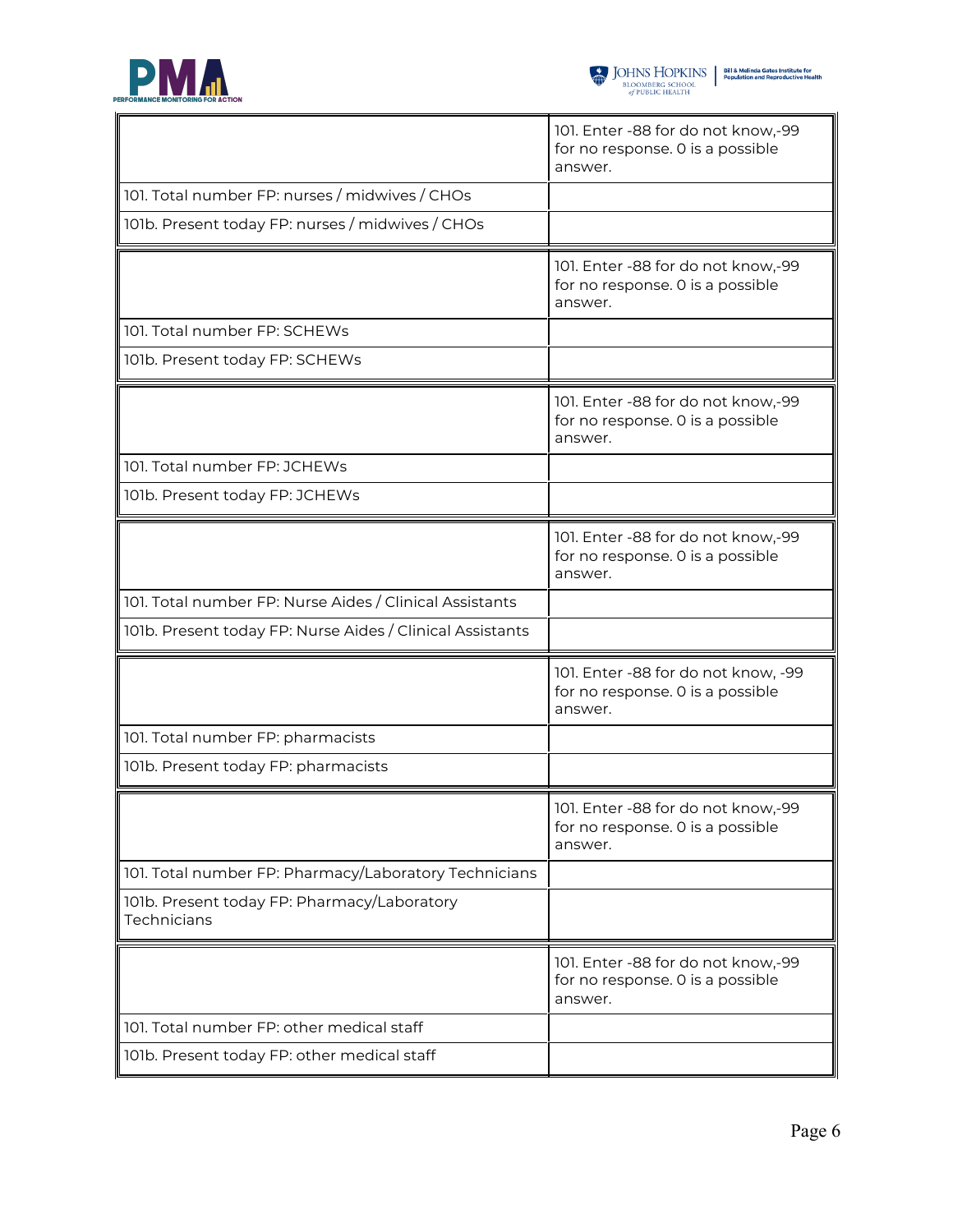

 $\mathbf{r}$ 

÷

|                                                            | 101. Enter -88 for do not know,-99<br>for no response. 0 is a possible<br>answer.  |
|------------------------------------------------------------|------------------------------------------------------------------------------------|
| 101. Total number FP: nurses / midwives / CHOs             |                                                                                    |
| 101b. Present today FP: nurses / midwives / CHOs           |                                                                                    |
|                                                            | 101. Enter -88 for do not know,-99<br>for no response. 0 is a possible<br>answer.  |
| 101. Total number FP: SCHEWs                               |                                                                                    |
| 101b. Present today FP: SCHEWs                             |                                                                                    |
|                                                            | 101. Enter -88 for do not know,-99<br>for no response. 0 is a possible<br>answer.  |
| 101. Total number FP: JCHEWs                               |                                                                                    |
| 101b. Present today FP: JCHEWs                             |                                                                                    |
|                                                            | 101. Enter -88 for do not know,-99<br>for no response. 0 is a possible<br>answer.  |
| 101. Total number FP: Nurse Aides / Clinical Assistants    |                                                                                    |
| 101b. Present today FP: Nurse Aides / Clinical Assistants  |                                                                                    |
|                                                            | 101. Enter -88 for do not know, -99<br>for no response. 0 is a possible<br>answer. |
| 101. Total number FP: pharmacists                          |                                                                                    |
| 101b. Present today FP: pharmacists                        |                                                                                    |
|                                                            | 101. Enter -88 for do not know,-99<br>for no response. 0 is a possible<br>answer.  |
| 101. Total number FP: Pharmacy/Laboratory Technicians      |                                                                                    |
| 101b. Present today FP: Pharmacy/Laboratory<br>Technicians |                                                                                    |
|                                                            | 101. Enter -88 for do not know,-99<br>for no response. 0 is a possible<br>answer.  |
| 101. Total number FP: other medical staff                  |                                                                                    |
| 101b. Present today FP: other medical staff                |                                                                                    |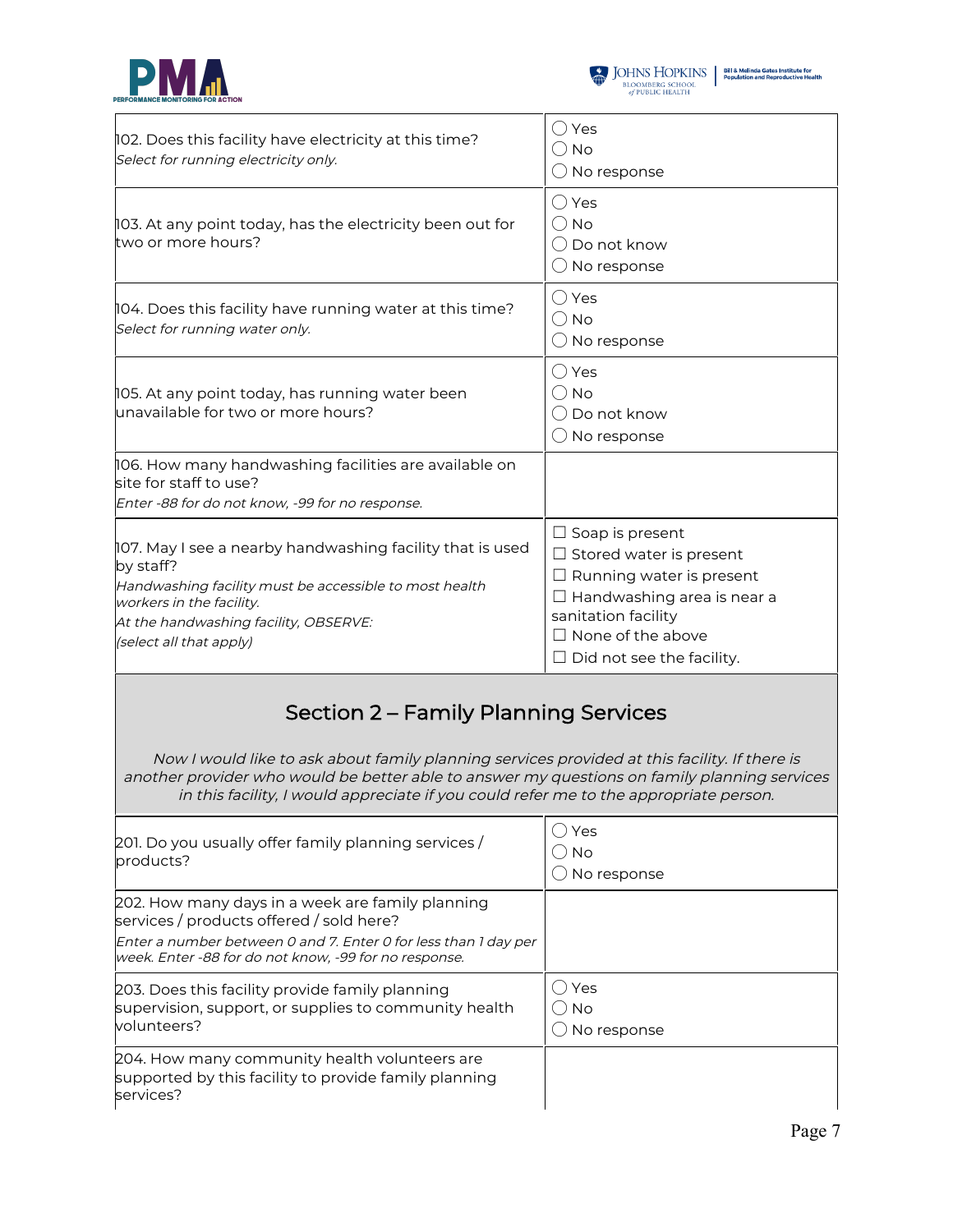



| 102. Does this facility have electricity at this time?<br>Select for running electricity only.                                                                                                                                   | $\bigcirc$ Yes<br>() No<br>$\bigcirc$ No response                                                                                                                                                                       |  |
|----------------------------------------------------------------------------------------------------------------------------------------------------------------------------------------------------------------------------------|-------------------------------------------------------------------------------------------------------------------------------------------------------------------------------------------------------------------------|--|
| 103. At any point today, has the electricity been out for<br>two or more hours?                                                                                                                                                  | $\bigcirc$ Yes<br>$\bigcirc$ No<br>$\bigcirc$ Do not know<br>$\bigcirc$ No response                                                                                                                                     |  |
| 104. Does this facility have running water at this time?<br>Select for running water only.                                                                                                                                       | $\bigcirc$ Yes<br>$\bigcirc$ No<br>$\bigcirc$ No response                                                                                                                                                               |  |
| 105. At any point today, has running water been<br>unavailable for two or more hours?                                                                                                                                            | $\bigcirc$ Yes<br>() No<br>() Do not know<br>$\bigcirc$ No response                                                                                                                                                     |  |
| 106. How many handwashing facilities are available on<br>site for staff to use?<br>Enter -88 for do not know, -99 for no response.                                                                                               |                                                                                                                                                                                                                         |  |
| 107. May I see a nearby handwashing facility that is used<br>by staff?<br>Handwashing facility must be accessible to most health<br>workers in the facility.<br>At the handwashing facility, OBSERVE:<br>(select all that apply) | $\Box$ Soap is present<br>$\Box$ Stored water is present<br>$\Box$ Running water is present<br>$\Box$ Handwashing area is near a<br>sanitation facility<br>$\Box$ None of the above<br>$\Box$ Did not see the facility. |  |
| Section 2 – Family Planning Services<br>Now I would like to ask about family planning services provided at this facility. If there is                                                                                            |                                                                                                                                                                                                                         |  |

Now I would like to ask about family planning services provided at this facility. If there is another provider who would be better able to answer my questions on family planning services in this facility, I would appreciate if you could refer me to the appropriate person.

| 201. Do you usually offer family planning services /<br>products?                                                                                                                                                        | Yes<br><b>No</b><br>No response |
|--------------------------------------------------------------------------------------------------------------------------------------------------------------------------------------------------------------------------|---------------------------------|
| 202. How many days in a week are family planning<br>services / products offered / sold here?<br>Enter a number between 0 and 7. Enter 0 for less than 1 day per<br>week. Enter -88 for do not know, -99 for no response. |                                 |
| 203. Does this facility provide family planning<br>supervision, support, or supplies to community health<br>volunteers?                                                                                                  | Yes<br><b>No</b><br>No response |
| 204. How many community health volunteers are<br>supported by this facility to provide family planning<br>services?                                                                                                      |                                 |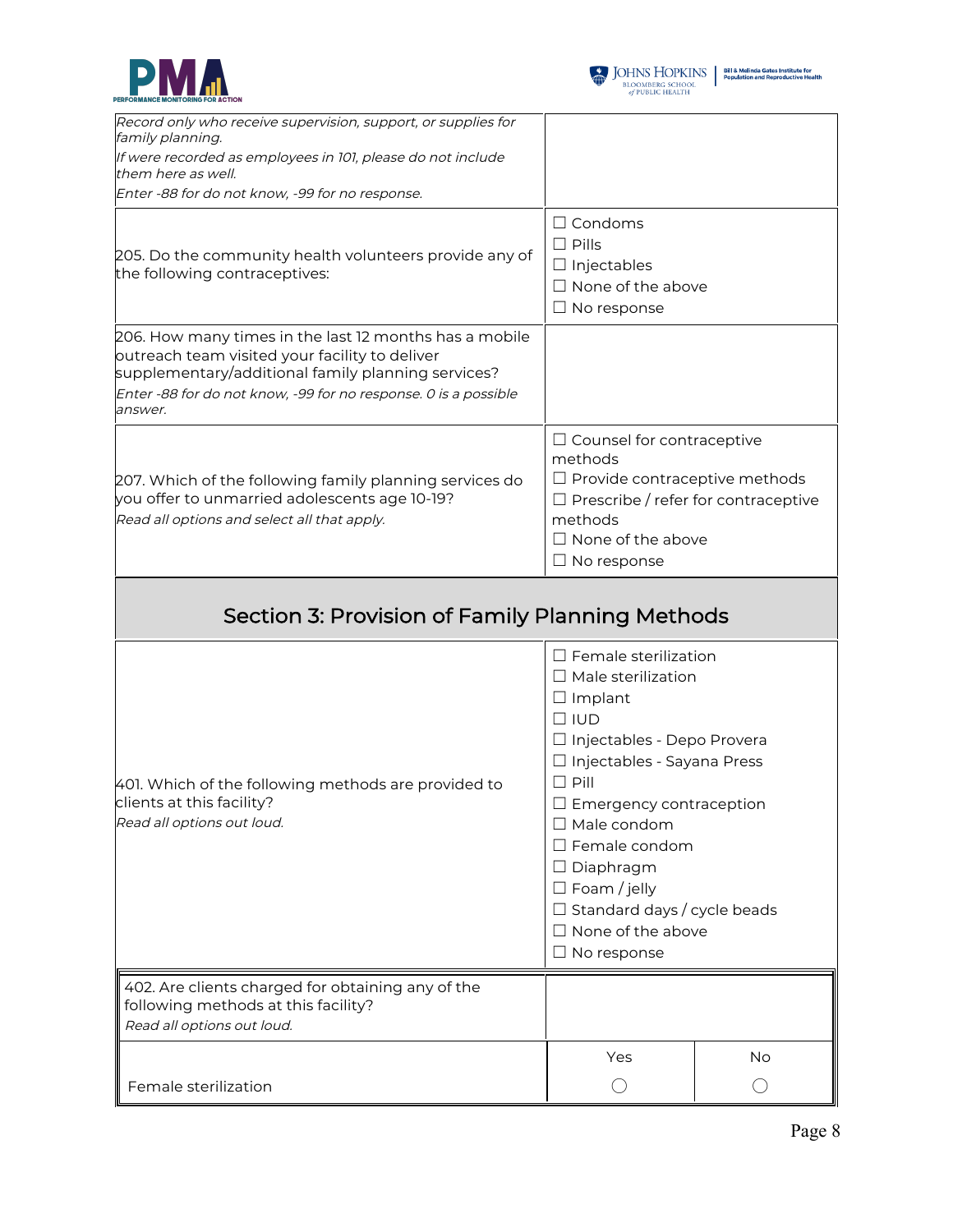



| Record only who receive supervision, support, or supplies for<br>family planning.                                                                                                                                                            |                                                                                                                                                                                                                                                                                                                                                                                        |           |
|----------------------------------------------------------------------------------------------------------------------------------------------------------------------------------------------------------------------------------------------|----------------------------------------------------------------------------------------------------------------------------------------------------------------------------------------------------------------------------------------------------------------------------------------------------------------------------------------------------------------------------------------|-----------|
| If were recorded as employees in 101, please do not include                                                                                                                                                                                  |                                                                                                                                                                                                                                                                                                                                                                                        |           |
| them here as well.                                                                                                                                                                                                                           |                                                                                                                                                                                                                                                                                                                                                                                        |           |
| Enter -88 for do not know, -99 for no response.                                                                                                                                                                                              |                                                                                                                                                                                                                                                                                                                                                                                        |           |
| 205. Do the community health volunteers provide any of<br>the following contraceptives:                                                                                                                                                      | $\Box$ Condoms<br>$\square$ Pills<br>$\Box$ Injectables<br>$\Box$ None of the above<br>$\Box$ No response                                                                                                                                                                                                                                                                              |           |
| 206. How many times in the last 12 months has a mobile<br>outreach team visited your facility to deliver<br>supplementary/additional family planning services?<br>Enter -88 for do not know, -99 for no response. 0 is a possible<br>answer. |                                                                                                                                                                                                                                                                                                                                                                                        |           |
| 207. Which of the following family planning services do<br>you offer to unmarried adolescents age 10-19?<br>Read all options and select all that apply.                                                                                      | $\Box$ Counsel for contraceptive<br>methods<br>$\Box$ Provide contraceptive methods<br>$\Box$ Prescribe / refer for contraceptive<br>methods<br>$\Box$ None of the above<br>$\Box$ No response                                                                                                                                                                                         |           |
| Section 3: Provision of Family Planning Methods                                                                                                                                                                                              |                                                                                                                                                                                                                                                                                                                                                                                        |           |
| 401. Which of the following methods are provided to<br>clients at this facility?<br>Read all options out loud.                                                                                                                               | $\Box$ Female sterilization<br>$\Box$ Male sterilization<br>$\Box$ Implant<br>$\Box$ IUD<br>□ Injectables - Depo Provera<br>□ Injectables - Sayana Press<br>$\Box$ Pill<br>Emergency contraception<br>$\Box$ Male condom<br>$\square$ Female condom<br>$\Box$ Diaphragm<br>$\Box$ Foam / jelly<br>$\Box$ Standard days / cycle beads<br>$\Box$ None of the above<br>$\Box$ No response |           |
| 402. Are clients charged for obtaining any of the<br>following methods at this facility?<br>Read all options out loud.                                                                                                                       |                                                                                                                                                                                                                                                                                                                                                                                        |           |
|                                                                                                                                                                                                                                              | Yes                                                                                                                                                                                                                                                                                                                                                                                    | <b>No</b> |
| Female sterilization                                                                                                                                                                                                                         | O                                                                                                                                                                                                                                                                                                                                                                                      | ( )       |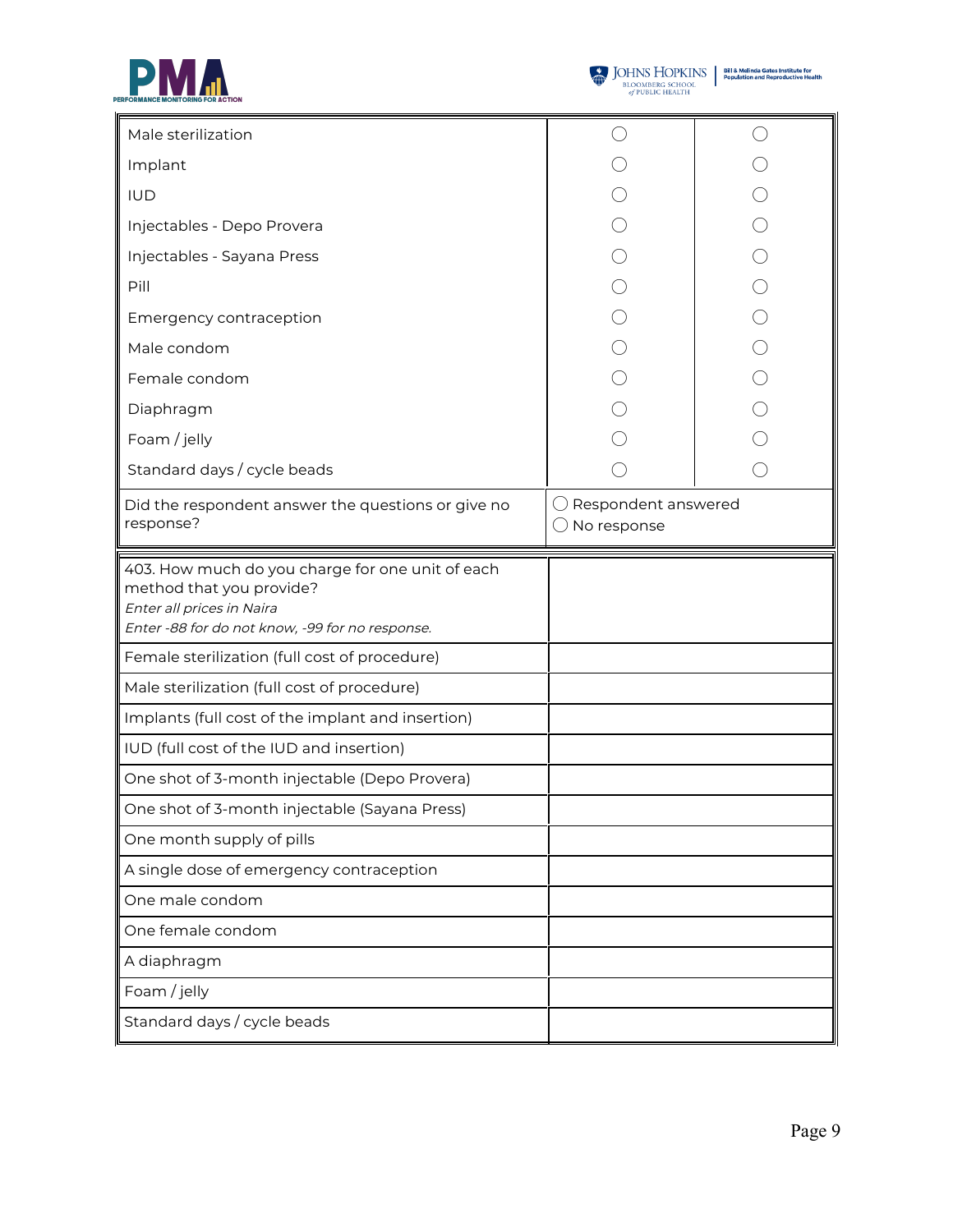



| Male sterilization                                                                                                                                           |                                    |  |
|--------------------------------------------------------------------------------------------------------------------------------------------------------------|------------------------------------|--|
| Implant                                                                                                                                                      |                                    |  |
| <b>IUD</b>                                                                                                                                                   |                                    |  |
| Injectables - Depo Provera                                                                                                                                   |                                    |  |
| Injectables - Sayana Press                                                                                                                                   |                                    |  |
| Pill                                                                                                                                                         |                                    |  |
| Emergency contraception                                                                                                                                      |                                    |  |
| Male condom                                                                                                                                                  |                                    |  |
| Female condom                                                                                                                                                |                                    |  |
| Diaphragm                                                                                                                                                    |                                    |  |
| Foam / jelly                                                                                                                                                 |                                    |  |
| Standard days / cycle beads                                                                                                                                  |                                    |  |
| Did the respondent answer the questions or give no<br>response?                                                                                              | Respondent answered<br>No response |  |
|                                                                                                                                                              |                                    |  |
| 403. How much do you charge for one unit of each<br>method that you provide?<br>Enter all prices in Naira<br>Enter -88 for do not know, -99 for no response. |                                    |  |
| Female sterilization (full cost of procedure)                                                                                                                |                                    |  |
| Male sterilization (full cost of procedure)                                                                                                                  |                                    |  |
| Implants (full cost of the implant and insertion)                                                                                                            |                                    |  |
| IUD (full cost of the IUD and insertion)                                                                                                                     |                                    |  |
| One shot of 3-month injectable (Depo Provera)                                                                                                                |                                    |  |
| One shot of 3-month injectable (Sayana Press)                                                                                                                |                                    |  |
| One month supply of pills                                                                                                                                    |                                    |  |
| A single dose of emergency contraception                                                                                                                     |                                    |  |
| One male condom                                                                                                                                              |                                    |  |
| One female condom                                                                                                                                            |                                    |  |
| A diaphragm                                                                                                                                                  |                                    |  |
| Foam / jelly                                                                                                                                                 |                                    |  |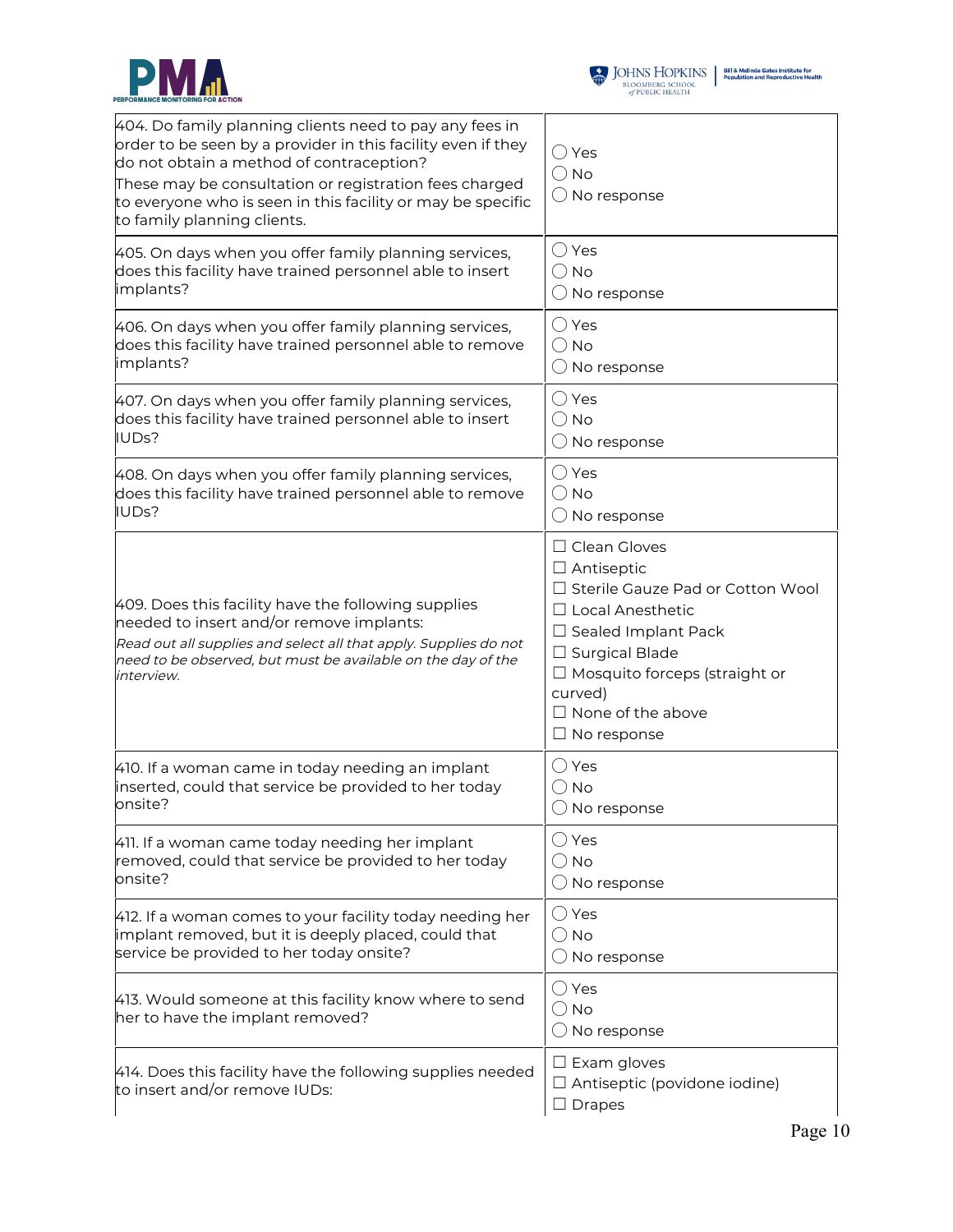



| 404. Do family planning clients need to pay any fees in<br>order to be seen by a provider in this facility even if they<br>do not obtain a method of contraception?<br>These may be consultation or registration fees charged<br>to everyone who is seen in this facility or may be specific<br>to family planning clients. | $\bigcirc$ Yes<br>$\bigcirc$ No<br>$\bigcirc$ No response                                                                                                                                                                                                             |
|-----------------------------------------------------------------------------------------------------------------------------------------------------------------------------------------------------------------------------------------------------------------------------------------------------------------------------|-----------------------------------------------------------------------------------------------------------------------------------------------------------------------------------------------------------------------------------------------------------------------|
| 405. On days when you offer family planning services,                                                                                                                                                                                                                                                                       | $\bigcirc$ Yes                                                                                                                                                                                                                                                        |
| does this facility have trained personnel able to insert                                                                                                                                                                                                                                                                    | $\bigcirc$ No                                                                                                                                                                                                                                                         |
| implants?                                                                                                                                                                                                                                                                                                                   | $\bigcirc$ No response                                                                                                                                                                                                                                                |
| 406. On days when you offer family planning services,                                                                                                                                                                                                                                                                       | $\bigcirc$ Yes                                                                                                                                                                                                                                                        |
| does this facility have trained personnel able to remove                                                                                                                                                                                                                                                                    | $\bigcirc$ No                                                                                                                                                                                                                                                         |
| implants?                                                                                                                                                                                                                                                                                                                   | $\bigcirc$ No response                                                                                                                                                                                                                                                |
| 407. On days when you offer family planning services,                                                                                                                                                                                                                                                                       | $\bigcirc$ Yes                                                                                                                                                                                                                                                        |
| does this facility have trained personnel able to insert                                                                                                                                                                                                                                                                    | $\bigcirc$ No                                                                                                                                                                                                                                                         |
| IUDs?                                                                                                                                                                                                                                                                                                                       | $\bigcirc$ No response                                                                                                                                                                                                                                                |
| 408. On days when you offer family planning services,                                                                                                                                                                                                                                                                       | $\bigcirc$ Yes                                                                                                                                                                                                                                                        |
| does this facility have trained personnel able to remove                                                                                                                                                                                                                                                                    | $\bigcirc$ No                                                                                                                                                                                                                                                         |
| IUDs?                                                                                                                                                                                                                                                                                                                       | $\bigcirc$ No response                                                                                                                                                                                                                                                |
| 409. Does this facility have the following supplies<br>needed to insert and/or remove implants:<br>Read out all supplies and select all that apply. Supplies do not<br>need to be observed, but must be available on the day of the<br>interview.                                                                           | $\Box$ Clean Gloves<br>$\Box$ Antiseptic<br>□ Sterile Gauze Pad or Cotton Wool<br>$\Box$ Local Anesthetic<br>$\Box$ Sealed Implant Pack<br>$\Box$ Surgical Blade<br>$\Box$ Mosquito forceps (straight or<br>curved)<br>$\Box$ None of the above<br>$\Box$ No response |
| 410. If a woman came in today needing an implant                                                                                                                                                                                                                                                                            | $\bigcirc$ Yes                                                                                                                                                                                                                                                        |
| inserted, could that service be provided to her today                                                                                                                                                                                                                                                                       | <b>No</b>                                                                                                                                                                                                                                                             |
| onsite?                                                                                                                                                                                                                                                                                                                     | No response                                                                                                                                                                                                                                                           |
| 411. If a woman came today needing her implant                                                                                                                                                                                                                                                                              | $\bigcirc$ Yes                                                                                                                                                                                                                                                        |
| removed, could that service be provided to her today                                                                                                                                                                                                                                                                        | $\bigcirc$ No                                                                                                                                                                                                                                                         |
| onsite?                                                                                                                                                                                                                                                                                                                     | $\bigcirc$ No response                                                                                                                                                                                                                                                |
| 412. If a woman comes to your facility today needing her                                                                                                                                                                                                                                                                    | $\bigcirc$ Yes                                                                                                                                                                                                                                                        |
| implant removed, but it is deeply placed, could that                                                                                                                                                                                                                                                                        | $\bigcirc$ No                                                                                                                                                                                                                                                         |
| service be provided to her today onsite?                                                                                                                                                                                                                                                                                    | $\bigcirc$ No response                                                                                                                                                                                                                                                |
| 413. Would someone at this facility know where to send<br>her to have the implant removed?                                                                                                                                                                                                                                  | $\bigcirc$ Yes<br>$\bigcirc$ No<br>$\bigcirc$ No response                                                                                                                                                                                                             |
| 414. Does this facility have the following supplies needed<br>to insert and/or remove IUDs:                                                                                                                                                                                                                                 | $\square$ Exam gloves<br>$\Box$ Antiseptic (povidone iodine)<br>$\square$ Drapes                                                                                                                                                                                      |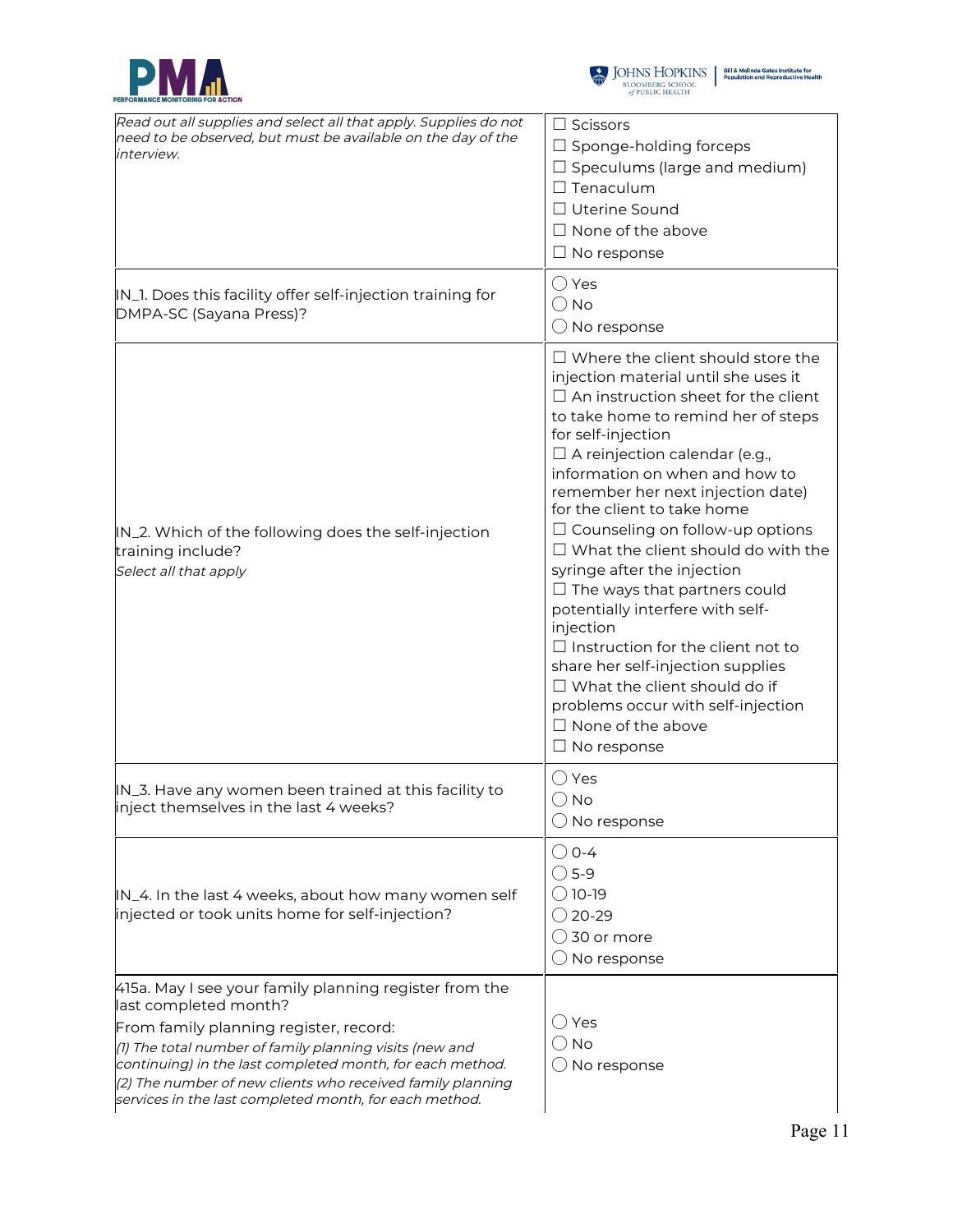



| Read out all supplies and select all that apply. Supplies do not<br>need to be observed, but must be available on the day of the<br>interview.                                                                                                                                                                                                                            | $\Box$ Scissors<br>$\Box$ Sponge-holding forceps<br>$\Box$ Speculums (large and medium)<br>$\square$ Tenaculum<br>□ Uterine Sound<br>$\Box$ None of the above<br>$\Box$ No response                                                                                                                                                                                                                                                                                                                                                                                                                                                                                                                                                                                     |
|---------------------------------------------------------------------------------------------------------------------------------------------------------------------------------------------------------------------------------------------------------------------------------------------------------------------------------------------------------------------------|-------------------------------------------------------------------------------------------------------------------------------------------------------------------------------------------------------------------------------------------------------------------------------------------------------------------------------------------------------------------------------------------------------------------------------------------------------------------------------------------------------------------------------------------------------------------------------------------------------------------------------------------------------------------------------------------------------------------------------------------------------------------------|
| IN_1. Does this facility offer self-injection training for<br>DMPA-SC (Sayana Press)?                                                                                                                                                                                                                                                                                     | () Yes<br>$\bigcirc$ No<br>$\bigcirc$ No response                                                                                                                                                                                                                                                                                                                                                                                                                                                                                                                                                                                                                                                                                                                       |
| IN_2. Which of the following does the self-injection<br>training include?<br>Select all that apply                                                                                                                                                                                                                                                                        | $\Box$ Where the client should store the<br>injection material until she uses it<br>$\Box$ An instruction sheet for the client<br>to take home to remind her of steps<br>for self-injection<br>$\Box$ A reinjection calendar (e.g.,<br>information on when and how to<br>remember her next injection date)<br>for the client to take home<br>$\Box$ Counseling on follow-up options<br>$\Box$ What the client should do with the<br>syringe after the injection<br>$\Box$ The ways that partners could<br>potentially interfere with self-<br>injection<br>$\Box$ Instruction for the client not to<br>share her self-injection supplies<br>$\Box$ What the client should do if<br>problems occur with self-injection<br>$\Box$ None of the above<br>$\Box$ No response |
| IN_3. Have any women been trained at this facility to<br>inject themselves in the last 4 weeks?                                                                                                                                                                                                                                                                           | $\bigcirc$ Yes<br>$\bigcirc$ No<br>$\bigcirc$ No response                                                                                                                                                                                                                                                                                                                                                                                                                                                                                                                                                                                                                                                                                                               |
| IN_4. In the last 4 weeks, about how many women self<br>injected or took units home for self-injection?                                                                                                                                                                                                                                                                   | $\bigcirc$ 0-4<br>$\bigcirc$ 5-9<br>◯ 10-19<br>◯ 20-29<br>$\bigcirc$ 30 or more<br>$\bigcirc$ No response                                                                                                                                                                                                                                                                                                                                                                                                                                                                                                                                                                                                                                                               |
| 415a. May I see your family planning register from the<br>last completed month?<br>From family planning register, record:<br>(1) The total number of family planning visits (new and<br>continuing) in the last completed month, for each method.<br>(2) The number of new clients who received family planning<br>services in the last completed month, for each method. | ( ) Yes<br>() No<br>$\bigcirc$ No response                                                                                                                                                                                                                                                                                                                                                                                                                                                                                                                                                                                                                                                                                                                              |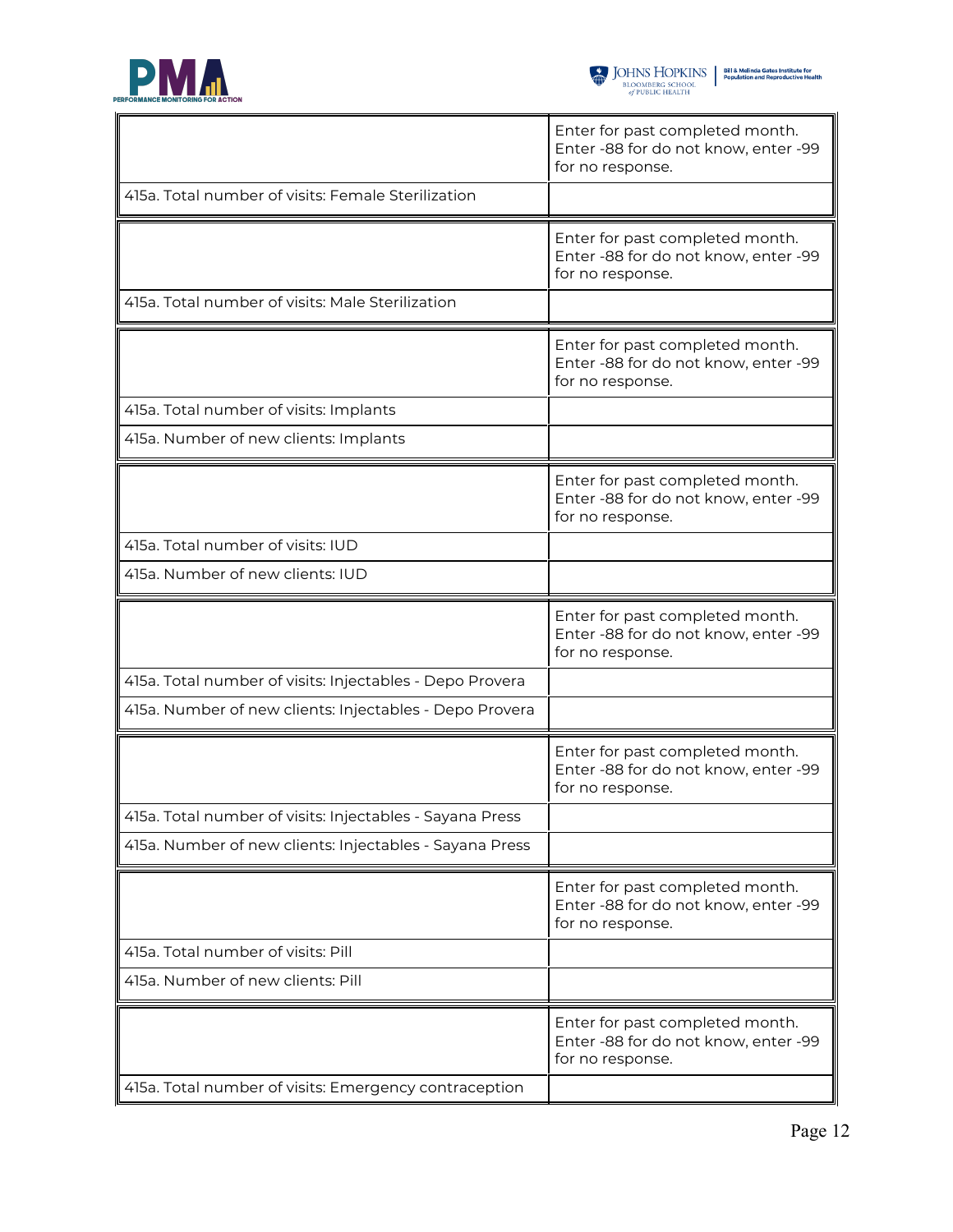

|                                                          | Enter for past completed month.<br>Enter -88 for do not know, enter -99<br>for no response. |
|----------------------------------------------------------|---------------------------------------------------------------------------------------------|
| 415a. Total number of visits: Female Sterilization       |                                                                                             |
|                                                          | Enter for past completed month.<br>Enter -88 for do not know, enter -99<br>for no response. |
| 415a. Total number of visits: Male Sterilization         |                                                                                             |
|                                                          | Enter for past completed month.<br>Enter -88 for do not know, enter -99<br>for no response. |
| 415a. Total number of visits: Implants                   |                                                                                             |
| 415a. Number of new clients: Implants                    |                                                                                             |
|                                                          | Enter for past completed month.<br>Enter -88 for do not know, enter -99<br>for no response. |
| 415a. Total number of visits: IUD                        |                                                                                             |
| 415a. Number of new clients: IUD                         |                                                                                             |
|                                                          |                                                                                             |
|                                                          | Enter for past completed month.<br>Enter -88 for do not know, enter -99<br>for no response. |
| 415a. Total number of visits: Injectables - Depo Provera |                                                                                             |
| 415a. Number of new clients: Injectables - Depo Provera  |                                                                                             |
|                                                          | Enter for past completed month.<br>Enter -88 for do not know, enter -99<br>for no response. |
| 415a. Total number of visits: Injectables - Sayana Press |                                                                                             |
| 415a. Number of new clients: Injectables - Sayana Press  |                                                                                             |
|                                                          | Enter for past completed month.<br>Enter -88 for do not know, enter -99<br>for no response. |
| 415a. Total number of visits: Pill                       |                                                                                             |
| 415a. Number of new clients: Pill                        |                                                                                             |
| 415a. Total number of visits: Emergency contraception    | Enter for past completed month.<br>Enter -88 for do not know, enter -99<br>for no response. |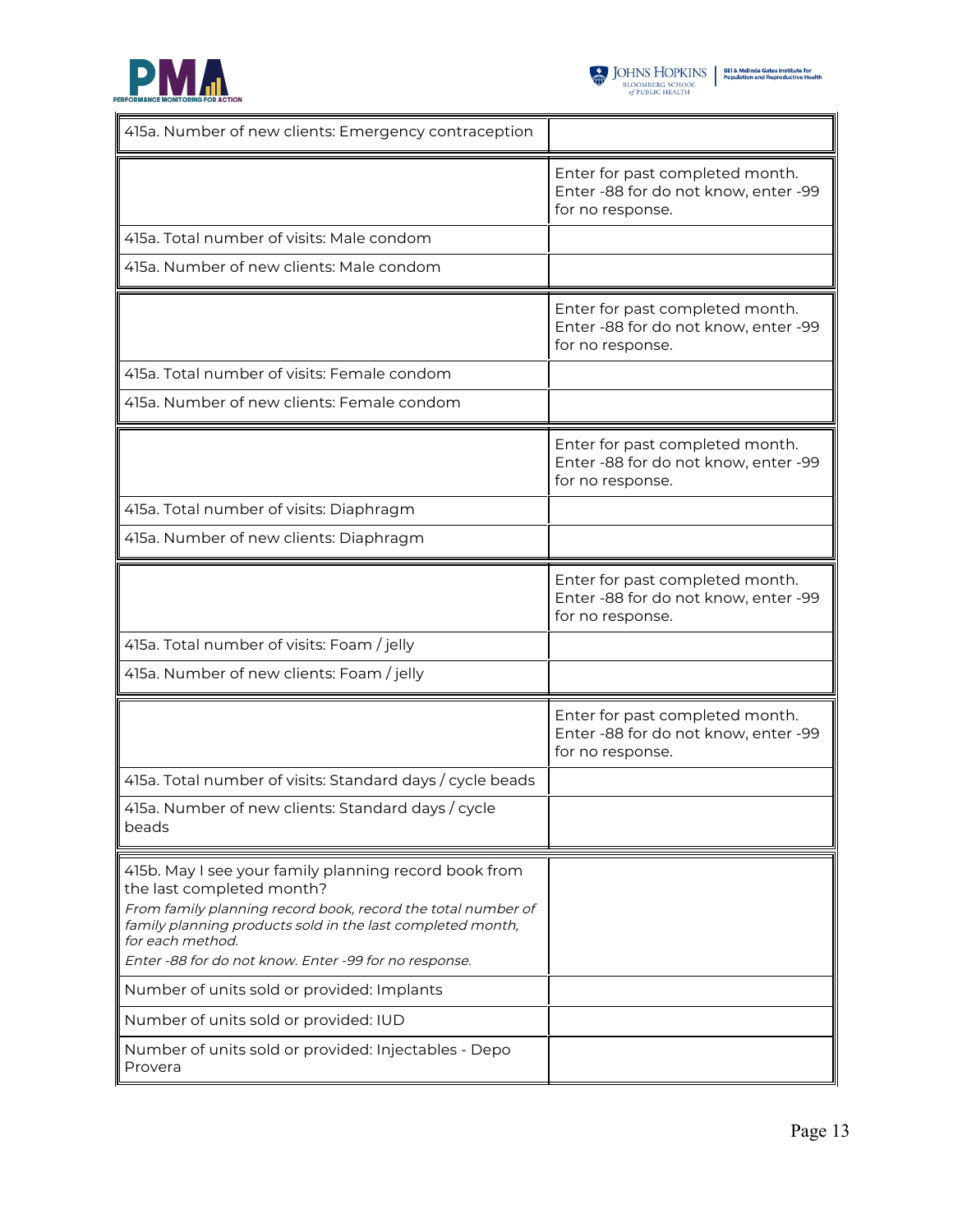

| 415a. Number of new clients: Emergency contraception                                                                                                                                                                                                                                                                                                                                                                                                    |                                                                                             |
|---------------------------------------------------------------------------------------------------------------------------------------------------------------------------------------------------------------------------------------------------------------------------------------------------------------------------------------------------------------------------------------------------------------------------------------------------------|---------------------------------------------------------------------------------------------|
|                                                                                                                                                                                                                                                                                                                                                                                                                                                         | Enter for past completed month.<br>Enter -88 for do not know, enter -99<br>for no response. |
| 415a. Total number of visits: Male condom                                                                                                                                                                                                                                                                                                                                                                                                               |                                                                                             |
| 415a. Number of new clients: Male condom                                                                                                                                                                                                                                                                                                                                                                                                                |                                                                                             |
|                                                                                                                                                                                                                                                                                                                                                                                                                                                         | Enter for past completed month.<br>Enter -88 for do not know, enter -99<br>for no response. |
| 415a. Total number of visits: Female condom                                                                                                                                                                                                                                                                                                                                                                                                             |                                                                                             |
| 415a. Number of new clients: Female condom                                                                                                                                                                                                                                                                                                                                                                                                              |                                                                                             |
|                                                                                                                                                                                                                                                                                                                                                                                                                                                         | Enter for past completed month.<br>Enter -88 for do not know, enter -99<br>for no response. |
| 415a. Total number of visits: Diaphragm                                                                                                                                                                                                                                                                                                                                                                                                                 |                                                                                             |
| 415a. Number of new clients: Diaphragm                                                                                                                                                                                                                                                                                                                                                                                                                  |                                                                                             |
|                                                                                                                                                                                                                                                                                                                                                                                                                                                         | Enter for past completed month.<br>Enter -88 for do not know, enter -99<br>for no response. |
| 415a. Total number of visits: Foam / jelly                                                                                                                                                                                                                                                                                                                                                                                                              |                                                                                             |
| 415a. Number of new clients: Foam / jelly                                                                                                                                                                                                                                                                                                                                                                                                               |                                                                                             |
|                                                                                                                                                                                                                                                                                                                                                                                                                                                         | Enter for past completed month.<br>Enter -88 for do not know, enter -99<br>for no response. |
| 415a. Total number of visits: Standard days / cycle beads                                                                                                                                                                                                                                                                                                                                                                                               |                                                                                             |
| 415a. Number of new clients: Standard days / cycle<br>beads                                                                                                                                                                                                                                                                                                                                                                                             |                                                                                             |
| 415b. May I see your family planning record book from<br>the last completed month?<br>From family planning record book, record the total number of<br>family planning products sold in the last completed month,<br>for each method.<br>Enter -88 for do not know. Enter -99 for no response.<br>Number of units sold or provided: Implants<br>Number of units sold or provided: IUD<br>Number of units sold or provided: Injectables - Depo<br>Provera |                                                                                             |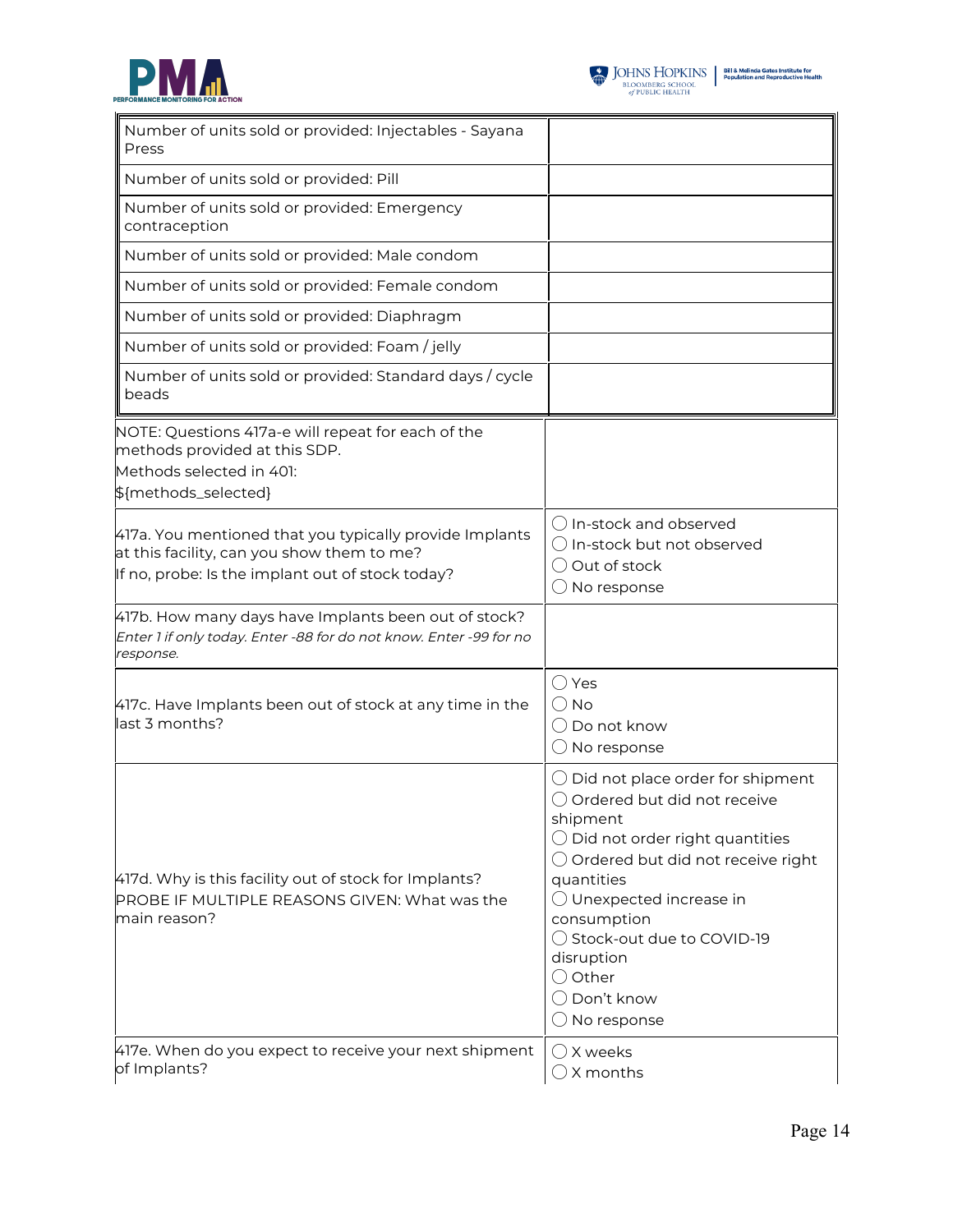



| Number of units sold or provided: Injectables - Sayana<br>Press                                                                                           |                                                                                                                                                                                                                                                                                                                                                                    |
|-----------------------------------------------------------------------------------------------------------------------------------------------------------|--------------------------------------------------------------------------------------------------------------------------------------------------------------------------------------------------------------------------------------------------------------------------------------------------------------------------------------------------------------------|
| Number of units sold or provided: Pill                                                                                                                    |                                                                                                                                                                                                                                                                                                                                                                    |
| Number of units sold or provided: Emergency<br>contraception                                                                                              |                                                                                                                                                                                                                                                                                                                                                                    |
| Number of units sold or provided: Male condom                                                                                                             |                                                                                                                                                                                                                                                                                                                                                                    |
| Number of units sold or provided: Female condom                                                                                                           |                                                                                                                                                                                                                                                                                                                                                                    |
| Number of units sold or provided: Diaphragm                                                                                                               |                                                                                                                                                                                                                                                                                                                                                                    |
| Number of units sold or provided: Foam / jelly                                                                                                            |                                                                                                                                                                                                                                                                                                                                                                    |
| Number of units sold or provided: Standard days / cycle<br>beads                                                                                          |                                                                                                                                                                                                                                                                                                                                                                    |
| NOTE: Questions 417a-e will repeat for each of the<br>methods provided at this SDP.<br>Methods selected in 401:<br>\${methods_selected}                   |                                                                                                                                                                                                                                                                                                                                                                    |
| 417a. You mentioned that you typically provide Implants<br>at this facility, can you show them to me?<br>If no, probe: Is the implant out of stock today? | $\bigcirc$ In-stock and observed<br>$\bigcirc$ In-stock but not observed<br>Out of stock<br>No response                                                                                                                                                                                                                                                            |
| 417b. How many days have Implants been out of stock?<br>Enter 1 if only today. Enter -88 for do not know. Enter -99 for no<br>response.                   |                                                                                                                                                                                                                                                                                                                                                                    |
| 417c. Have Implants been out of stock at any time in the<br>last 3 months?                                                                                | () Yes<br>() No<br>( ) Do not know<br>No response                                                                                                                                                                                                                                                                                                                  |
| 417d. Why is this facility out of stock for Implants?<br>PROBE IF MULTIPLE REASONS GIVEN: What was the<br>main reason?                                    | $\bigcirc$ Did not place order for shipment<br>○ Ordered but did not receive<br>shipment<br>$\bigcirc$ Did not order right quantities<br>$\bigcirc$ Ordered but did not receive right<br>quantities<br>$\bigcirc$ Unexpected increase in<br>consumption<br>◯ Stock-out due to COVID-19<br>disruption<br>$\bigcirc$ Other<br>◯ Don't know<br>$\bigcirc$ No response |
| 417e. When do you expect to receive your next shipment<br>of Implants?                                                                                    | () X weeks<br>$\bigcirc$ X months                                                                                                                                                                                                                                                                                                                                  |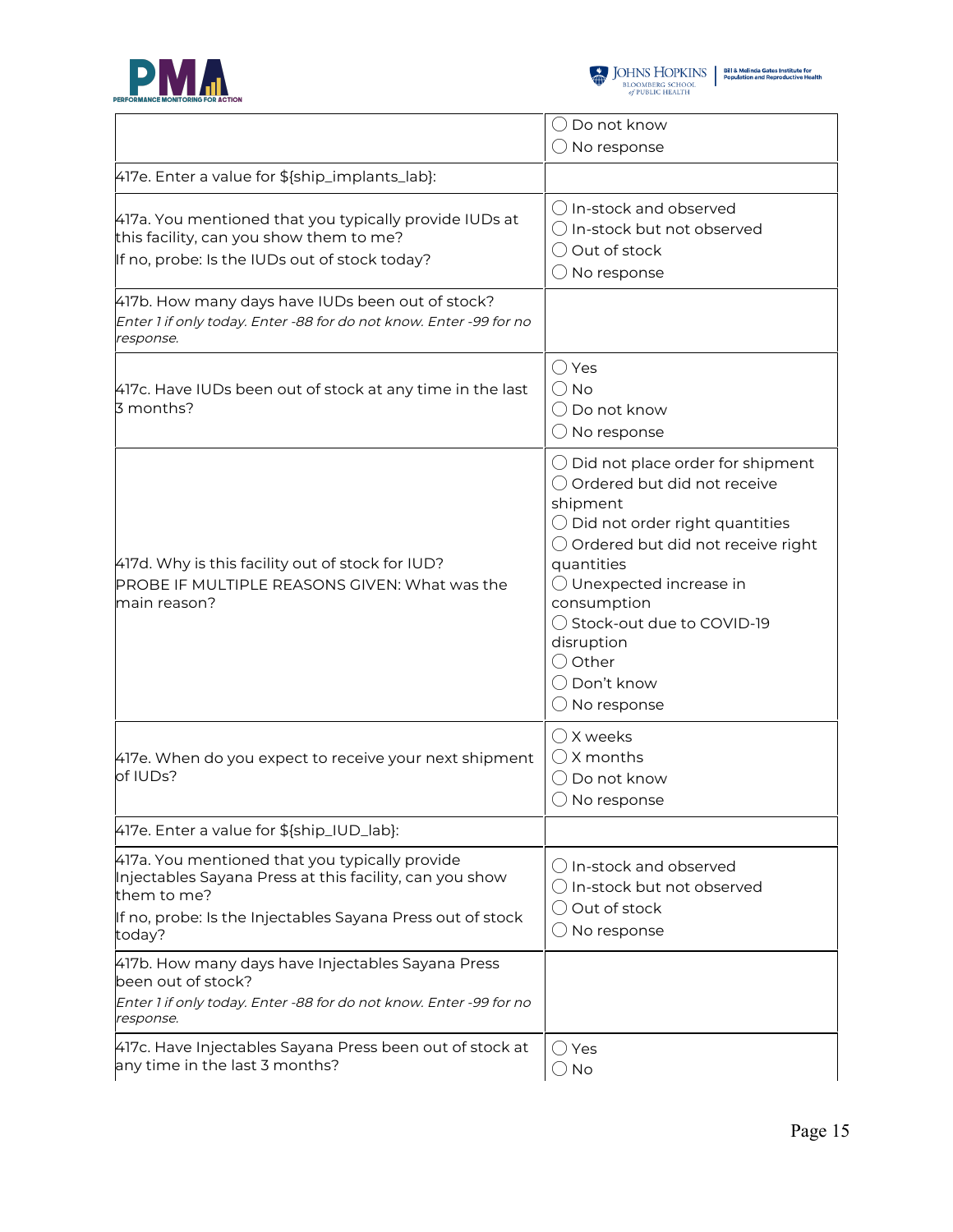



|                                                                                                                                                                                                  | Do not know<br>$($ )                                                                                                                                                                                                                                                                                                                                                        |
|--------------------------------------------------------------------------------------------------------------------------------------------------------------------------------------------------|-----------------------------------------------------------------------------------------------------------------------------------------------------------------------------------------------------------------------------------------------------------------------------------------------------------------------------------------------------------------------------|
|                                                                                                                                                                                                  | $\bigcirc$ No response                                                                                                                                                                                                                                                                                                                                                      |
| 417e. Enter a value for \${ship_implants_lab}:                                                                                                                                                   |                                                                                                                                                                                                                                                                                                                                                                             |
| 417a. You mentioned that you typically provide IUDs at<br>this facility, can you show them to me?<br>If no, probe: Is the IUDs out of stock today?                                               | $\bigcap$ In-stock and observed<br>$\bigcirc$ In-stock but not observed<br>$\bigcirc$ Out of stock<br>$\bigcirc$ No response                                                                                                                                                                                                                                                |
| 417b. How many days have IUDs been out of stock?<br>Enter 1 if only today. Enter -88 for do not know. Enter -99 for no<br>response.                                                              |                                                                                                                                                                                                                                                                                                                                                                             |
| 417c. Have IUDs been out of stock at any time in the last<br>3 months?                                                                                                                           | $\bigcirc$ Yes<br>$\bigcirc$ No<br>◯ Do not know<br>$\bigcirc$ No response                                                                                                                                                                                                                                                                                                  |
| 417d. Why is this facility out of stock for IUD?<br>PROBE IF MULTIPLE REASONS GIVEN: What was the<br>main reason?                                                                                | $\bigcirc$ Did not place order for shipment<br>○ Ordered but did not receive<br>shipment<br>$\bigcirc$ Did not order right quantities<br>$\bigcirc$ Ordered but did not receive right<br>quantities<br>$\bigcirc$ Unexpected increase in<br>consumption<br>◯ Stock-out due to COVID-19<br>disruption<br>$\bigcirc$ Other<br>$\bigcirc$ Don't know<br>$\bigcirc$ No response |
| 417e. When do you expect to receive your next shipment<br>of IUDs?                                                                                                                               | $\bigcirc$ X weeks<br>$\bigcirc$ X months<br>$\bigcirc$ Do not know<br>$\bigcirc$ No response                                                                                                                                                                                                                                                                               |
| 417e. Enter a value for \${ship_IUD_lab}:                                                                                                                                                        |                                                                                                                                                                                                                                                                                                                                                                             |
| 417a. You mentioned that you typically provide<br>Injectables Sayana Press at this facility, can you show<br>them to me?<br>If no, probe: Is the Injectables Sayana Press out of stock<br>today? | $\bigcirc$ In-stock and observed<br>$\bigcirc$ In-stock but not observed<br>◯ Out of stock<br>$\bigcirc$ No response                                                                                                                                                                                                                                                        |
| 417b. How many days have Injectables Sayana Press<br>been out of stock?<br>Enter 1 if only today. Enter -88 for do not know. Enter -99 for no<br>response.                                       |                                                                                                                                                                                                                                                                                                                                                                             |
| 417c. Have Injectables Sayana Press been out of stock at<br>any time in the last 3 months?                                                                                                       | $\bigcirc$ Yes<br>$\bigcirc$ No                                                                                                                                                                                                                                                                                                                                             |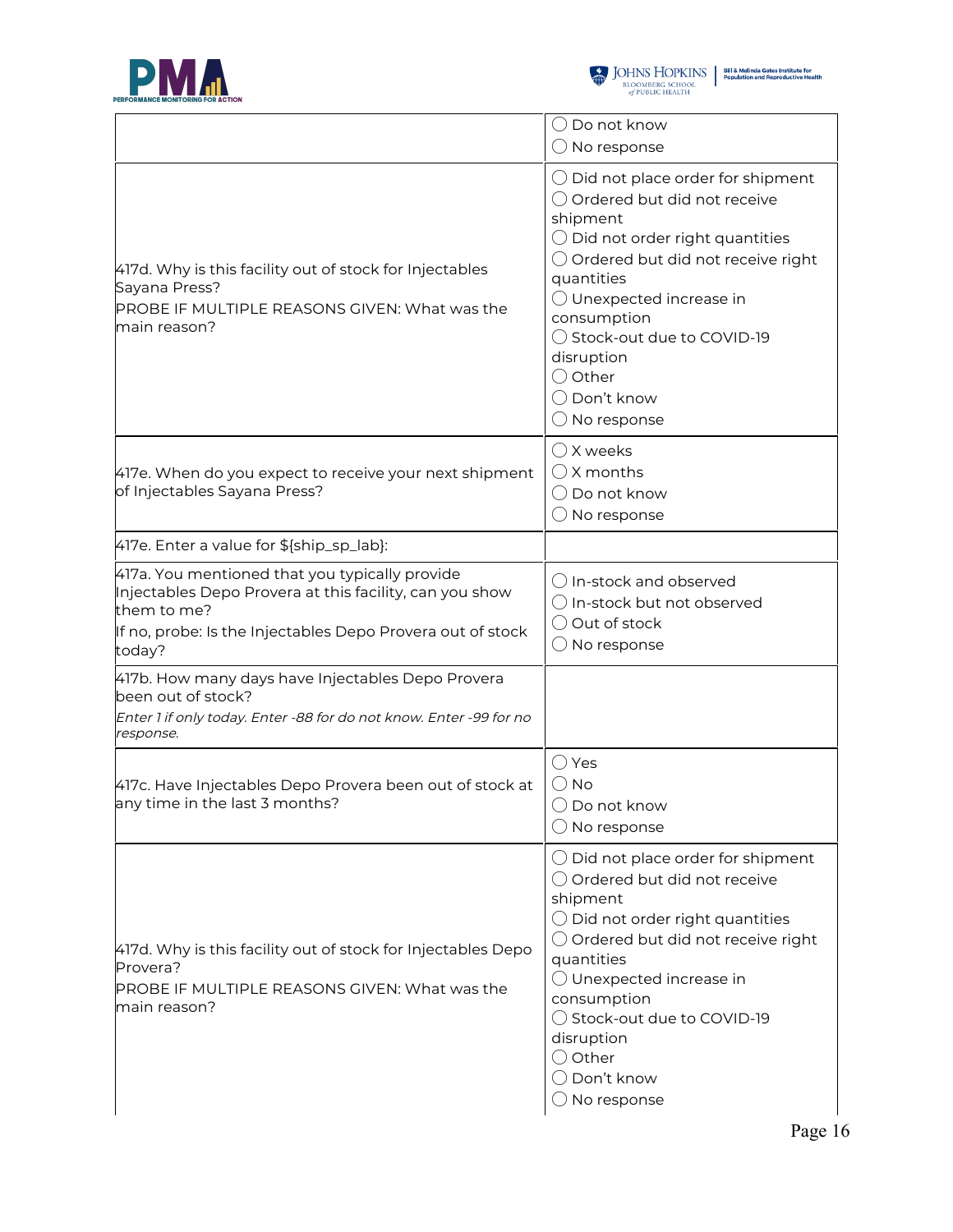



|                                                                                                                                                                                                  | $\bigcirc$ Do not know<br>$\bigcirc$ No response                                                                                                                                                                                                                                                                                                                   |
|--------------------------------------------------------------------------------------------------------------------------------------------------------------------------------------------------|--------------------------------------------------------------------------------------------------------------------------------------------------------------------------------------------------------------------------------------------------------------------------------------------------------------------------------------------------------------------|
| 417d. Why is this facility out of stock for Injectables<br>Sayana Press?<br>PROBE IF MULTIPLE REASONS GIVEN: What was the<br>main reason?                                                        | $\bigcirc$ Did not place order for shipment<br>○ Ordered but did not receive<br>shipment<br>$\bigcirc$ Did not order right quantities<br>$\bigcirc$ Ordered but did not receive right<br>quantities<br>O Unexpected increase in<br>consumption<br>◯ Stock-out due to COVID-19<br>disruption<br>$\bigcirc$ Other<br>$\bigcirc$ Don't know<br>$\bigcirc$ No response |
| 417e. When do you expect to receive your next shipment<br>of Injectables Sayana Press?                                                                                                           | $\bigcirc$ X weeks<br>$\bigcirc$ X months<br>◯ Do not know<br>$\bigcirc$ No response                                                                                                                                                                                                                                                                               |
| 417e. Enter a value for \${ship_sp_lab}:                                                                                                                                                         |                                                                                                                                                                                                                                                                                                                                                                    |
| 417a. You mentioned that you typically provide<br>Injectables Depo Provera at this facility, can you show<br>them to me?<br>If no, probe: Is the Injectables Depo Provera out of stock<br>today? | ◯ In-stock and observed<br>$\bigcirc$ In-stock but not observed<br>O Out of stock<br>$\bigcirc$ No response                                                                                                                                                                                                                                                        |
| 417b. How many days have Injectables Depo Provera<br>been out of stock?<br>Enter 1 if only today. Enter -88 for do not know. Enter -99 for no<br>response.                                       |                                                                                                                                                                                                                                                                                                                                                                    |
| 417c. Have Injectables Depo Provera been out of stock at<br>any time in the last 3 months?                                                                                                       | $\bigcirc$ Yes<br>$\bigcirc$ No<br>$\bigcirc$ Do not know<br>$\bigcirc$ No response                                                                                                                                                                                                                                                                                |
| 417d. Why is this facility out of stock for Injectables Depo<br>Provera?<br>PROBE IF MULTIPLE REASONS GIVEN: What was the<br>main reason?                                                        | $\bigcirc$ Did not place order for shipment<br>○ Ordered but did not receive<br>shipment<br>$\bigcirc$ Did not order right quantities<br>$\bigcirc$ Ordered but did not receive right<br>quantities<br>◯ Unexpected increase in<br>consumption<br>◯ Stock-out due to COVID-19<br>disruption<br>$\bigcirc$ Other<br>◯ Don't know<br>$\bigcirc$ No response          |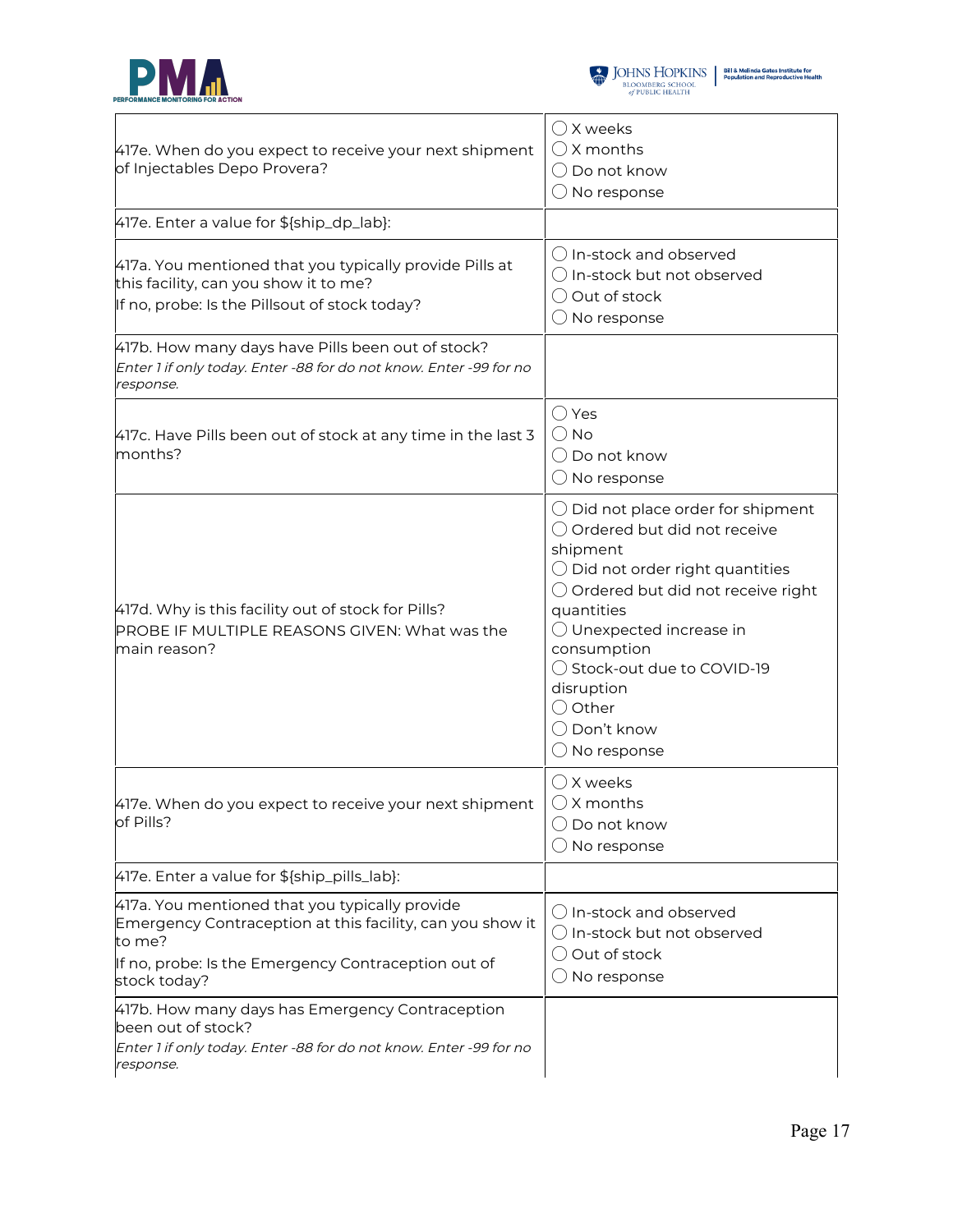



| 417e. When do you expect to receive your next shipment<br>of Injectables Depo Provera?                                                                                                       | $\bigcirc$ X weeks<br>$\bigcirc$ X months<br>$\bigcirc$ Do not know<br>$\bigcirc$ No response                                                                                                                                                                                                                                                             |
|----------------------------------------------------------------------------------------------------------------------------------------------------------------------------------------------|-----------------------------------------------------------------------------------------------------------------------------------------------------------------------------------------------------------------------------------------------------------------------------------------------------------------------------------------------------------|
| 417e. Enter a value for \${ship_dp_lab}:                                                                                                                                                     |                                                                                                                                                                                                                                                                                                                                                           |
| 417a. You mentioned that you typically provide Pills at<br>this facility, can you show it to me?<br>If no, probe: Is the Pillsout of stock today?                                            | () In-stock and observed<br>$\bigcirc$ In-stock but not observed<br>O Out of stock<br>$\bigcirc$ No response                                                                                                                                                                                                                                              |
| 417b. How many days have Pills been out of stock?<br>Enter 1 if only today. Enter -88 for do not know. Enter -99 for no<br>response.                                                         |                                                                                                                                                                                                                                                                                                                                                           |
| 417c. Have Pills been out of stock at any time in the last 3<br>months?                                                                                                                      | ◯ Yes<br>$\bigcirc$ No<br>() Do not know<br>$\bigcirc$ No response                                                                                                                                                                                                                                                                                        |
| 417d. Why is this facility out of stock for Pills?<br>PROBE IF MULTIPLE REASONS GIVEN: What was the<br>main reason?                                                                          | $\bigcirc$ Did not place order for shipment<br>○ Ordered but did not receive<br>shipment<br>$\bigcirc$ Did not order right quantities<br>$\bigcirc$ Ordered but did not receive right<br>quantities<br>$\bigcirc$ Unexpected increase in<br>consumption<br>◯ Stock-out due to COVID-19<br>disruption<br>○ Other<br>◯ Don't know<br>$\bigcirc$ No response |
| 417e. When do you expect to receive your next shipment<br>of Pills?                                                                                                                          | $\bigcirc$ X weeks<br>$\bigcirc$ X months<br>Do not know<br>No response                                                                                                                                                                                                                                                                                   |
| 417e. Enter a value for \${ship_pills_lab}:                                                                                                                                                  |                                                                                                                                                                                                                                                                                                                                                           |
| 417a. You mentioned that you typically provide<br>Emergency Contraception at this facility, can you show it<br>to me?<br>If no, probe: Is the Emergency Contraception out of<br>stock today? | () In-stock and observed<br>$\bigcirc$ In-stock but not observed<br>Out of stock<br>No response                                                                                                                                                                                                                                                           |
| 417b. How many days has Emergency Contraception<br>been out of stock?<br>Enter 1 if only today. Enter -88 for do not know. Enter -99 for no<br>response.                                     |                                                                                                                                                                                                                                                                                                                                                           |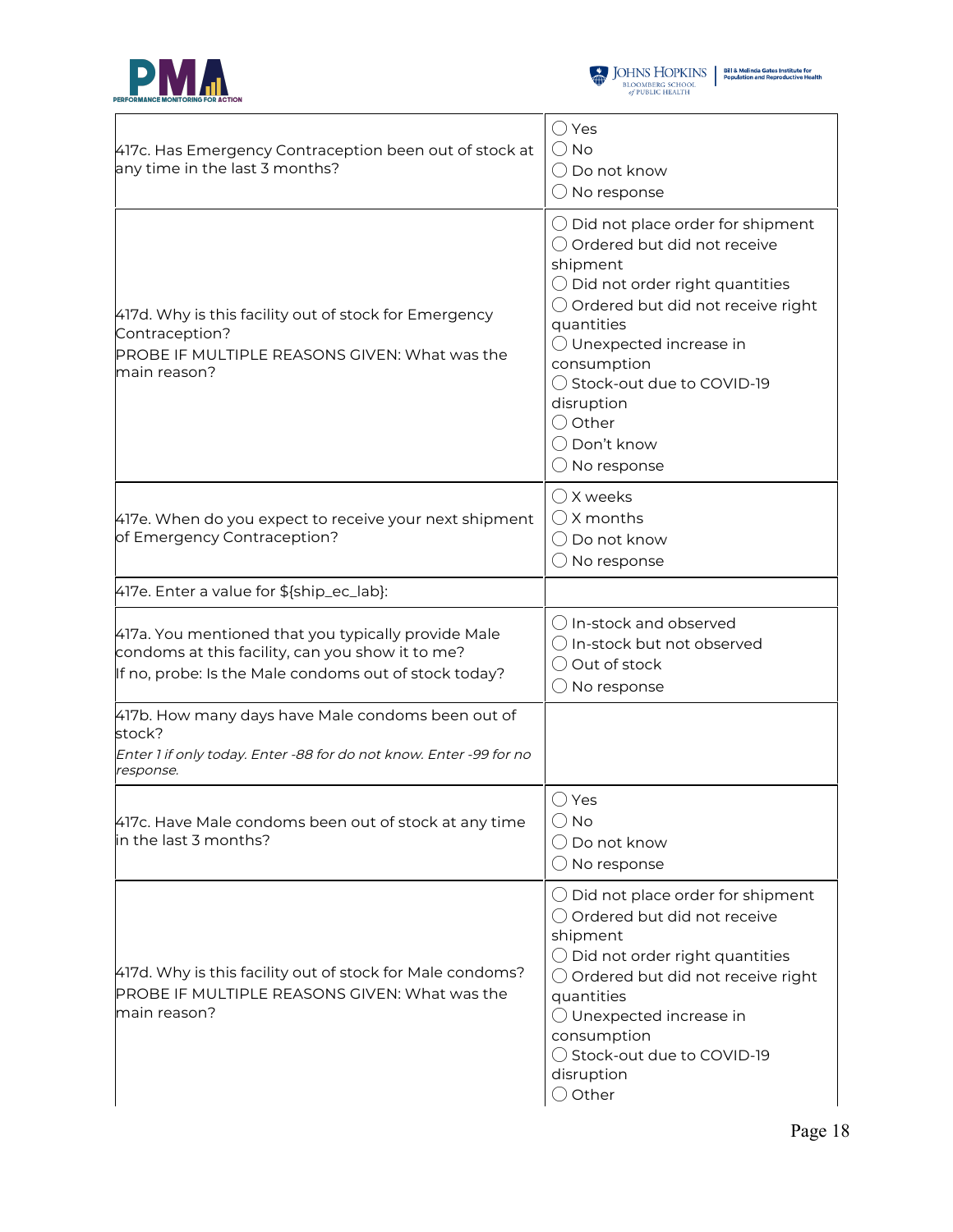



| 417c. Has Emergency Contraception been out of stock at<br>any time in the last 3 months?                                                                         | $\bigcirc$ Yes<br>() No<br>( ) Do not know<br>$\bigcirc$ No response                                                                                                                                                                                                                                                                                                        |
|------------------------------------------------------------------------------------------------------------------------------------------------------------------|-----------------------------------------------------------------------------------------------------------------------------------------------------------------------------------------------------------------------------------------------------------------------------------------------------------------------------------------------------------------------------|
| 417d. Why is this facility out of stock for Emergency<br>Contraception?<br>PROBE IF MULTIPLE REASONS GIVEN: What was the<br>main reason?                         | $\bigcirc$ Did not place order for shipment<br>◯ Ordered but did not receive<br>shipment<br>$\bigcirc$ Did not order right quantities<br>$\bigcirc$ Ordered but did not receive right<br>quantities<br>$\bigcirc$ Unexpected increase in<br>consumption<br>◯ Stock-out due to COVID-19<br>disruption<br>$\bigcirc$ Other<br>$\bigcirc$ Don't know<br>$\bigcirc$ No response |
| 417e. When do you expect to receive your next shipment<br>of Emergency Contraception?                                                                            | $\bigcirc$ X weeks<br>$\bigcirc$ X months<br>$\bigcirc$ Do not know<br>$\bigcirc$ No response                                                                                                                                                                                                                                                                               |
| 417e. Enter a value for \${ship_ec_lab}:                                                                                                                         |                                                                                                                                                                                                                                                                                                                                                                             |
| 417a. You mentioned that you typically provide Male<br>condoms at this facility, can you show it to me?<br>If no, probe: Is the Male condoms out of stock today? | ◯ In-stock and observed<br>$\bigcirc$ In-stock but not observed<br>Out of stock<br>$\bigcirc$ No response                                                                                                                                                                                                                                                                   |
| 417b. How many days have Male condoms been out of<br>stock?<br>Enter 1 if only today. Enter -88 for do not know. Enter -99 for no<br>response.                   |                                                                                                                                                                                                                                                                                                                                                                             |
| 417c. Have Male condoms been out of stock at any time<br>in the last 3 months?                                                                                   | ○ Yes<br>$\bigcirc$ No<br>Do not know<br>$\bigcirc$ No response                                                                                                                                                                                                                                                                                                             |
| 417d. Why is this facility out of stock for Male condoms?<br>PROBE IF MULTIPLE REASONS GIVEN: What was the<br>main reason?                                       | $\bigcirc$ Did not place order for shipment<br>$\bigcirc$ Ordered but did not receive<br>shipment<br>$\bigcirc$ Did not order right quantities<br>$\bigcirc$ Ordered but did not receive right<br>quantities<br>$\bigcirc$ Unexpected increase in<br>consumption<br>◯ Stock-out due to COVID-19<br>disruption<br>$\bigcirc$ Other                                           |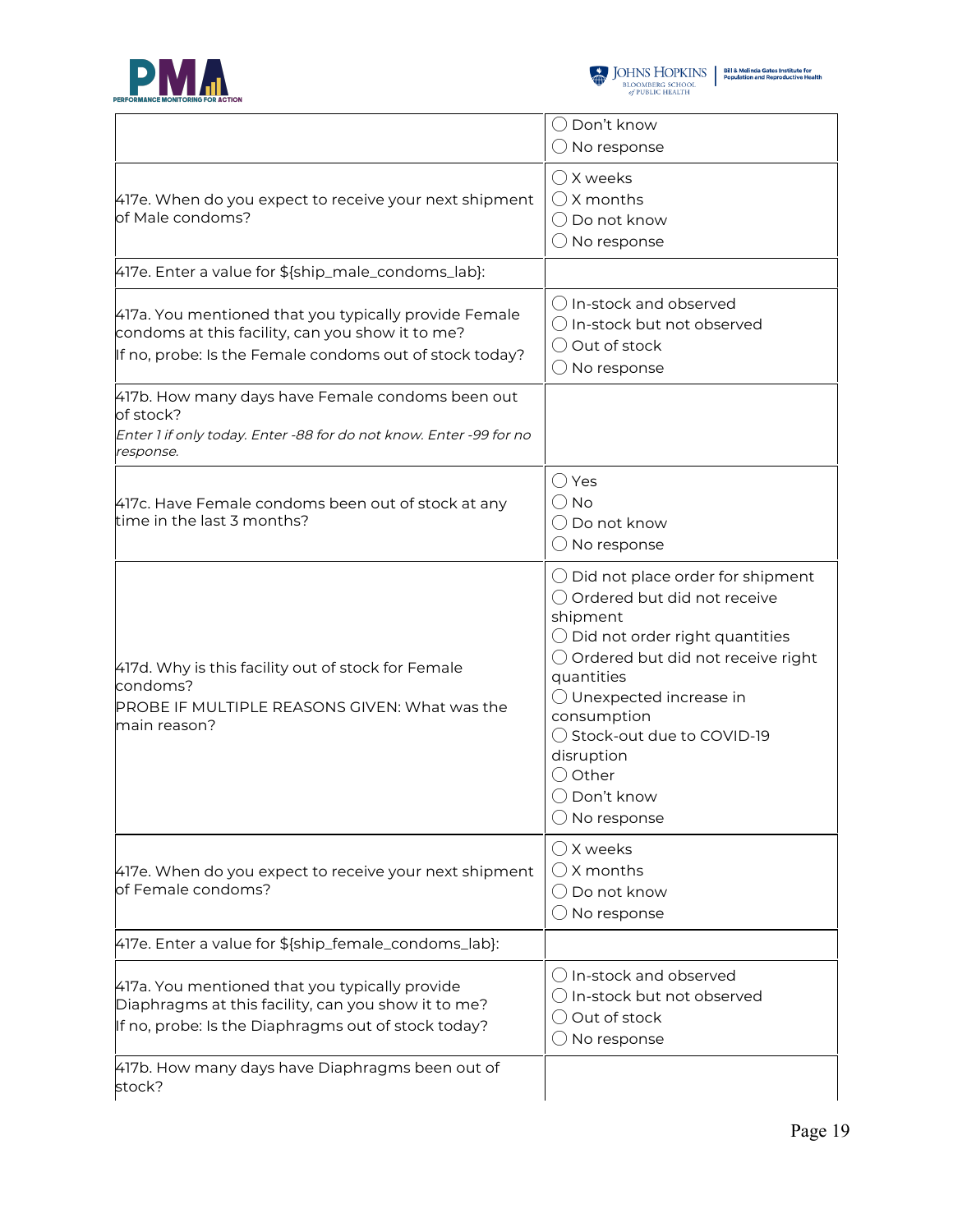

|                                                                                                                                                                      | $\bigcap$ Don't know<br>$\bigcirc$ No response                                                                                                                                                                                                                                                                                                                     |
|----------------------------------------------------------------------------------------------------------------------------------------------------------------------|--------------------------------------------------------------------------------------------------------------------------------------------------------------------------------------------------------------------------------------------------------------------------------------------------------------------------------------------------------------------|
| 417e. When do you expect to receive your next shipment<br>of Male condoms?                                                                                           | () X weeks<br>$\bigcap$ X months<br>$\bigcirc$ Do not know<br>$\bigcirc$ No response                                                                                                                                                                                                                                                                               |
| 417e. Enter a value for \${ship_male_condoms_lab}:                                                                                                                   |                                                                                                                                                                                                                                                                                                                                                                    |
| 417a. You mentioned that you typically provide Female<br>condoms at this facility, can you show it to me?<br>If no, probe: Is the Female condoms out of stock today? | () In-stock and observed<br>$\bigcirc$ In-stock but not observed<br>$\bigcirc$ Out of stock<br>$\bigcirc$ No response                                                                                                                                                                                                                                              |
| 417b. How many days have Female condoms been out<br>of stock?<br>Enter 1 if only today. Enter -88 for do not know. Enter -99 for no<br>response.                     |                                                                                                                                                                                                                                                                                                                                                                    |
| 417c. Have Female condoms been out of stock at any<br>time in the last 3 months?                                                                                     | ◯ Yes<br>() No<br>$\bigcirc$ Do not know<br>$\bigcirc$ No response                                                                                                                                                                                                                                                                                                 |
| 417d. Why is this facility out of stock for Female<br>condoms?<br>PROBE IF MULTIPLE REASONS GIVEN: What was the<br>main reason?                                      | $\bigcirc$ Did not place order for shipment<br>◯ Ordered but did not receive<br>shipment<br>$\bigcirc$ Did not order right quantities<br>$\bigcirc$ Ordered but did not receive right<br>quantities<br>$\bigcirc$ Unexpected increase in<br>consumption<br>◯ Stock-out due to COVID-19<br>disruption<br>○ Other<br>$\bigcirc$ Don't know<br>$\bigcirc$ No response |
| 417e. When do you expect to receive your next shipment<br>of Female condoms?                                                                                         | ◯ X weeks<br>() X months<br>$\bigcirc$ Do not know<br>$\bigcirc$ No response                                                                                                                                                                                                                                                                                       |
| 417e. Enter a value for \${ship_female_condoms_lab}:                                                                                                                 |                                                                                                                                                                                                                                                                                                                                                                    |
| 417a. You mentioned that you typically provide<br>Diaphragms at this facility, can you show it to me?<br>If no, probe: Is the Diaphragms out of stock today?         | $\bigcirc$ In-stock and observed<br>$\bigcirc$ In-stock but not observed<br>Out of stock<br>No response                                                                                                                                                                                                                                                            |
| 417b. How many days have Diaphragms been out of<br>stock?                                                                                                            |                                                                                                                                                                                                                                                                                                                                                                    |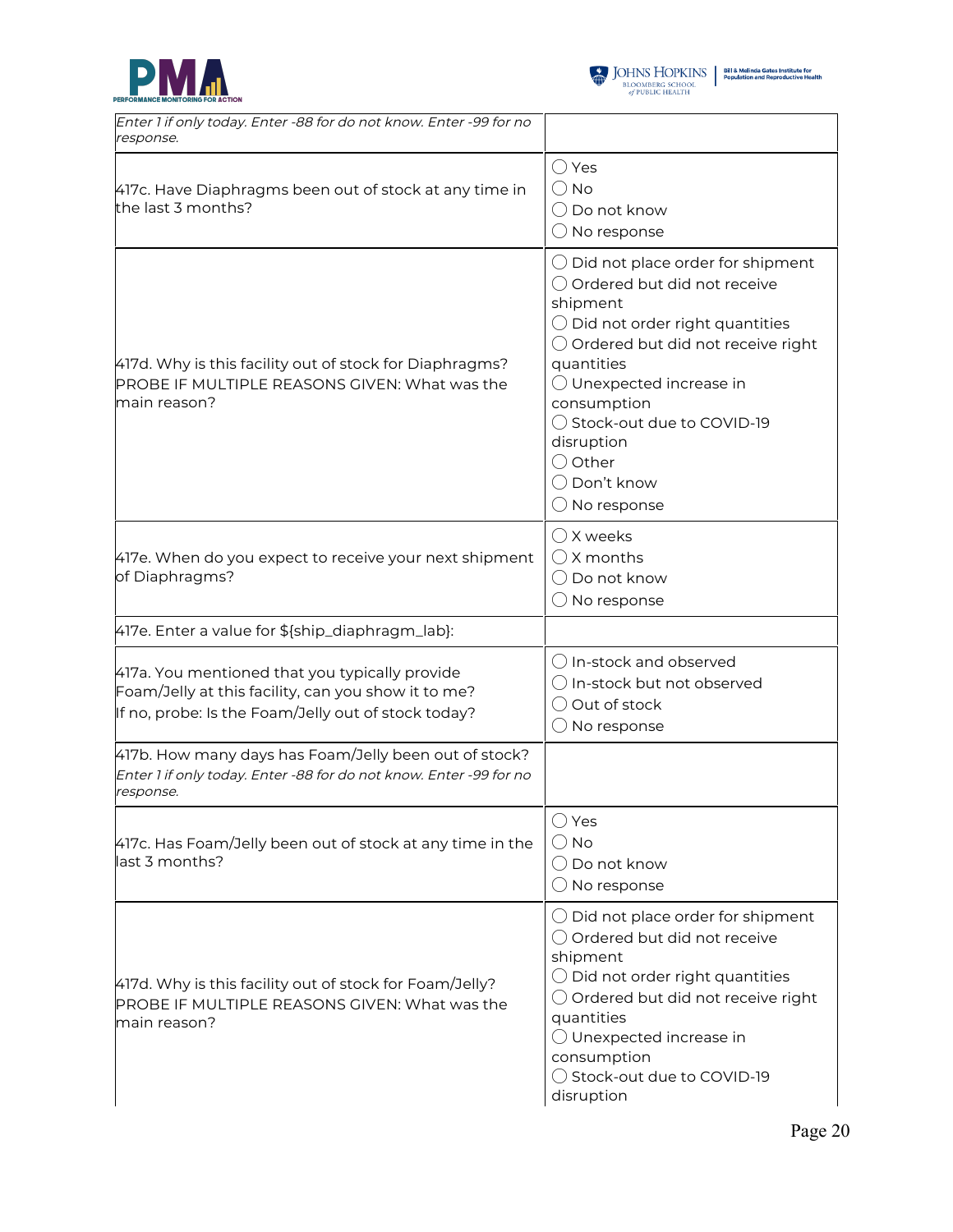



| Enter 1 if only today. Enter -88 for do not know. Enter -99 for no<br>response.                                                                              |                                                                                                                                                                                                                                                                                                                                                                    |
|--------------------------------------------------------------------------------------------------------------------------------------------------------------|--------------------------------------------------------------------------------------------------------------------------------------------------------------------------------------------------------------------------------------------------------------------------------------------------------------------------------------------------------------------|
| 417c. Have Diaphragms been out of stock at any time in<br>the last 3 months?                                                                                 | $\bigcirc$ Yes<br>$\bigcirc$ No<br>$\bigcirc$ Do not know<br>$\bigcirc$ No response                                                                                                                                                                                                                                                                                |
| 417d. Why is this facility out of stock for Diaphragms?<br>PROBE IF MULTIPLE REASONS GIVEN: What was the<br>main reason?                                     | $\bigcirc$ Did not place order for shipment<br>○ Ordered but did not receive<br>shipment<br>$\bigcirc$ Did not order right quantities<br>$\bigcirc$ Ordered but did not receive right<br>quantities<br>$\bigcirc$ Unexpected increase in<br>consumption<br>◯ Stock-out due to COVID-19<br>disruption<br>$\bigcirc$ Other<br>◯ Don't know<br>$\bigcirc$ No response |
| 417e. When do you expect to receive your next shipment<br>of Diaphragms?                                                                                     | $\bigcirc$ X weeks<br>$\bigcirc$ X months<br>$\bigcirc$ Do not know<br>$\bigcirc$ No response                                                                                                                                                                                                                                                                      |
| 417e. Enter a value for \${ship_diaphragm_lab}:                                                                                                              |                                                                                                                                                                                                                                                                                                                                                                    |
| 417a. You mentioned that you typically provide<br>Foam/Jelly at this facility, can you show it to me?<br>If no, probe: Is the Foam/Jelly out of stock today? | ◯ In-stock and observed<br>$\bigcirc$ In-stock but not observed<br>◯ Out of stock<br>$\bigcirc$ No response                                                                                                                                                                                                                                                        |
| 417b. How many days has Foam/Jelly been out of stock?<br>Enter 1 if only today. Enter -88 for do not know. Enter -99 for no<br>response.                     |                                                                                                                                                                                                                                                                                                                                                                    |
| 417c. Has Foam/Jelly been out of stock at any time in the<br>last 3 months?                                                                                  | $\bigcirc$ Yes<br>$\bigcirc$ No<br>◯ Do not know<br>$\bigcirc$ No response                                                                                                                                                                                                                                                                                         |
| 417d. Why is this facility out of stock for Foam/Jelly?<br>PROBE IF MULTIPLE REASONS GIVEN: What was the<br>main reason?                                     | $\bigcirc$ Did not place order for shipment<br>○ Ordered but did not receive<br>shipment<br>$\bigcirc$ Did not order right quantities<br>$\bigcirc$ Ordered but did not receive right<br>quantities<br>◯ Unexpected increase in<br>consumption<br>◯ Stock-out due to COVID-19<br>disruption                                                                        |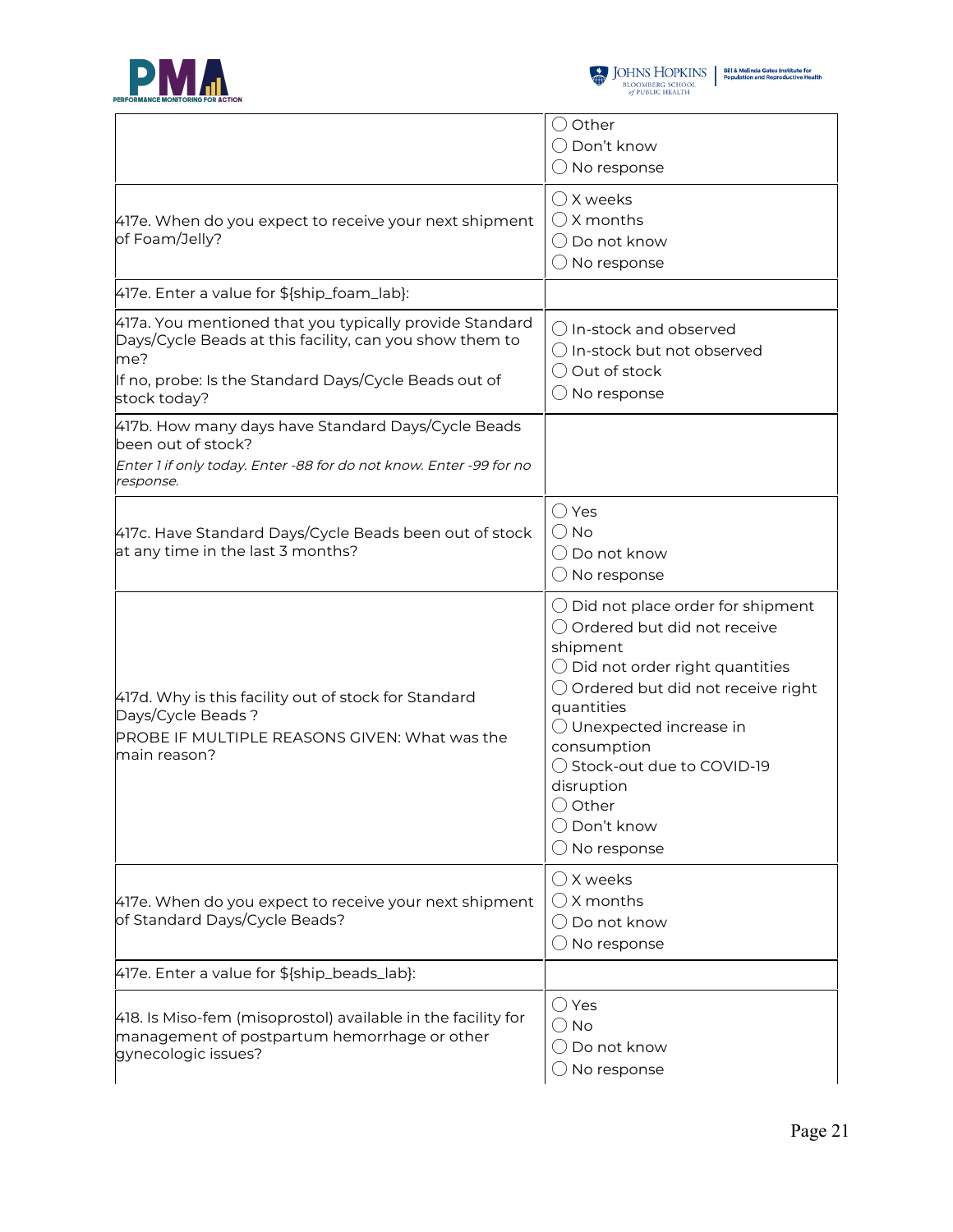

|                                                                                                                                                                                                    | () Other<br>$\bigcirc$ Don't know<br>$\bigcirc$ No response                                                                                                                                                                                                                                                                                                        |
|----------------------------------------------------------------------------------------------------------------------------------------------------------------------------------------------------|--------------------------------------------------------------------------------------------------------------------------------------------------------------------------------------------------------------------------------------------------------------------------------------------------------------------------------------------------------------------|
| 417e. When do you expect to receive your next shipment<br>of Foam/Jelly?                                                                                                                           | () X weeks<br>$\bigcap$ X months<br>$\bigcirc$ Do not know<br>$\bigcirc$ No response                                                                                                                                                                                                                                                                               |
| 417e. Enter a value for \${ship_foam_lab}:                                                                                                                                                         |                                                                                                                                                                                                                                                                                                                                                                    |
| 417a. You mentioned that you typically provide Standard<br>Days/Cycle Beads at this facility, can you show them to<br>me?<br>If no, probe: Is the Standard Days/Cycle Beads out of<br>stock today? | () In-stock and observed<br>$\bigcirc$ In-stock but not observed<br>◯ Out of stock<br>$\bigcirc$ No response                                                                                                                                                                                                                                                       |
| 417b. How many days have Standard Days/Cycle Beads<br>been out of stock?<br>Enter 1 if only today. Enter -88 for do not know. Enter -99 for no<br>response.                                        |                                                                                                                                                                                                                                                                                                                                                                    |
| 417c. Have Standard Days/Cycle Beads been out of stock<br>at any time in the last 3 months?                                                                                                        | $\bigcirc$ Yes<br>$\bigcirc$ No<br>() Do not know<br>$\bigcirc$ No response                                                                                                                                                                                                                                                                                        |
| 417d. Why is this facility out of stock for Standard<br>Days/Cycle Beads?<br>PROBE IF MULTIPLE REASONS GIVEN: What was the<br>main reason?                                                         | $\bigcirc$ Did not place order for shipment<br>○ Ordered but did not receive<br>shipment<br>$\bigcirc$ Did not order right quantities<br>○ Ordered but did not receive right<br>quantities<br>$\bigcirc$ Unexpected increase in<br>consumption<br>◯ Stock-out due to COVID-19<br>disruption<br>$\bigcirc$ Other<br>$\bigcirc$ Don't know<br>$\bigcirc$ No response |
| 417e. When do you expect to receive your next shipment<br>of Standard Days/Cycle Beads?                                                                                                            | $\bigcirc$ X weeks<br>$\bigcirc$ X months<br>◯ Do not know<br>$\bigcirc$ No response                                                                                                                                                                                                                                                                               |
| 417e. Enter a value for \${ship_beads_lab}:                                                                                                                                                        |                                                                                                                                                                                                                                                                                                                                                                    |
| 418. Is Miso-fem (misoprostol) available in the facility for<br>management of postpartum hemorrhage or other<br>gynecologic issues?                                                                | $\bigcirc$ Yes<br>$\bigcirc$ No<br>$\bigcirc$ Do not know<br>$\bigcirc$ No response                                                                                                                                                                                                                                                                                |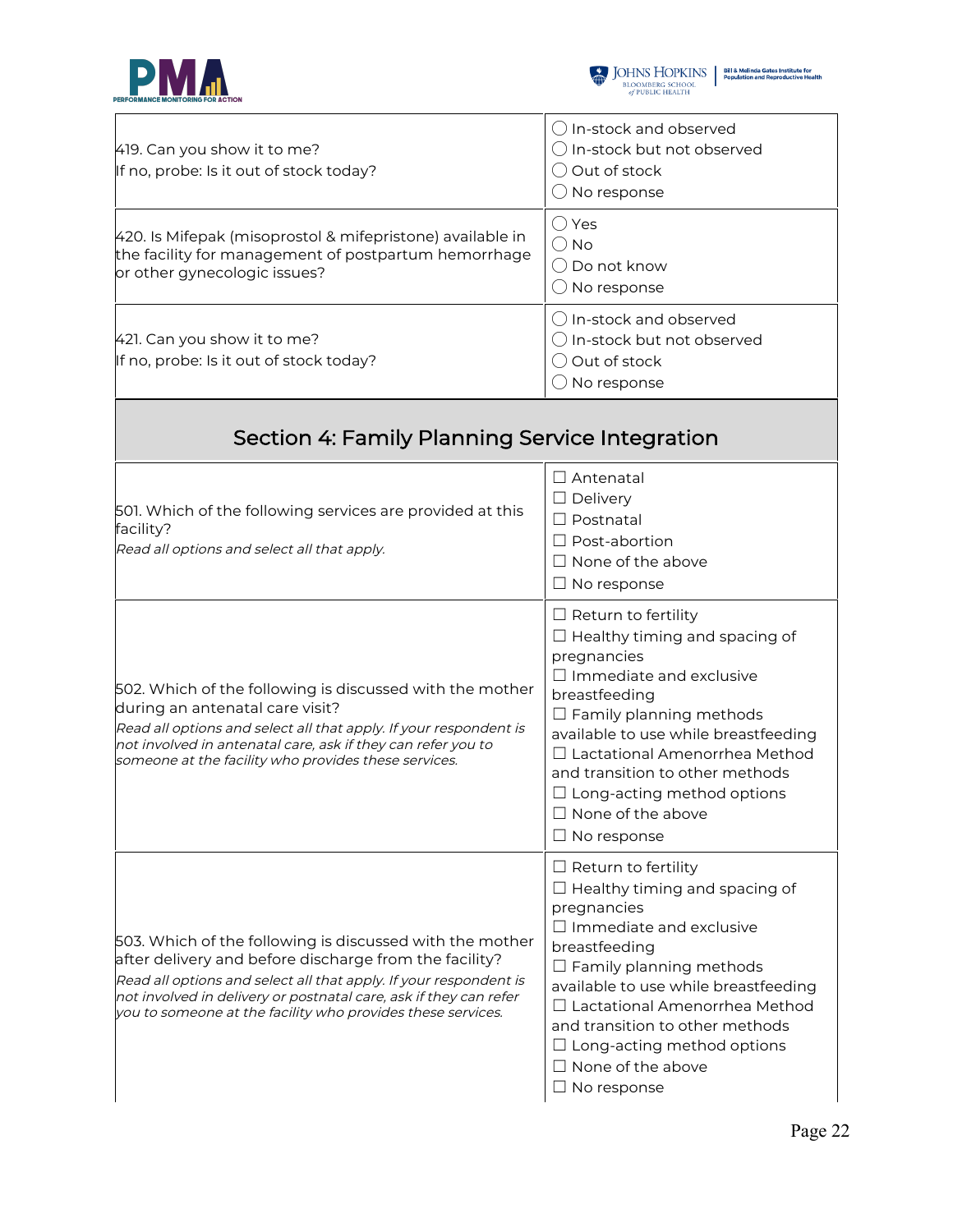



| 419. Can you show it to me?<br>If no, probe: Is it out of stock today?                                                                                                                                                                                                                                                      | () In-stock and observed<br>$\bigcirc$ In-stock but not observed<br>$\bigcirc$ Out of stock<br>$\bigcirc$ No response                                                                                                                                                                                                                                                       |
|-----------------------------------------------------------------------------------------------------------------------------------------------------------------------------------------------------------------------------------------------------------------------------------------------------------------------------|-----------------------------------------------------------------------------------------------------------------------------------------------------------------------------------------------------------------------------------------------------------------------------------------------------------------------------------------------------------------------------|
| 420. Is Mifepak (misoprostol & mifepristone) available in<br>the facility for management of postpartum hemorrhage<br>or other gynecologic issues?                                                                                                                                                                           | $\bigcirc$ Yes<br>$\bigcirc$ No<br>() Do not know<br>$\bigcirc$ No response                                                                                                                                                                                                                                                                                                 |
| 421. Can you show it to me?<br>If no, probe: Is it out of stock today?                                                                                                                                                                                                                                                      | $\bigcirc$ In-stock and observed<br>$\bigcirc$ In-stock but not observed<br>◯ Out of stock<br>$\bigcirc$ No response                                                                                                                                                                                                                                                        |
| Section 4: Family Planning Service Integration                                                                                                                                                                                                                                                                              |                                                                                                                                                                                                                                                                                                                                                                             |
| 501. Which of the following services are provided at this<br>facility?<br>Read all options and select all that apply.                                                                                                                                                                                                       | $\Box$ Antenatal<br>$\Box$ Delivery<br>$\Box$ Postnatal<br>$\Box$ Post-abortion<br>$\Box$ None of the above<br>$\Box$ No response                                                                                                                                                                                                                                           |
| 502. Which of the following is discussed with the mother<br>during an antenatal care visit?<br>Read all options and select all that apply. If your respondent is<br>not involved in antenatal care, ask if they can refer you to<br>someone at the facility who provides these services.                                    | $\Box$ Return to fertility<br>$\Box$ Healthy timing and spacing of<br>pregnancies<br>$\Box$ Immediate and exclusive<br>breastfeeding<br>$\Box$ Family planning methods<br>available to use while breastfeeding<br>□ Lactational Amenorrhea Method<br>and transition to other methods<br>$\Box$ Long-acting method options<br>$\Box$ None of the above<br>$\Box$ No response |
| 503. Which of the following is discussed with the mother<br>after delivery and before discharge from the facility?<br>Read all options and select all that apply. If your respondent is<br>not involved in delivery or postnatal care, ask if they can refer<br>you to someone at the facility who provides these services. | $\Box$ Return to fertility<br>$\Box$ Healthy timing and spacing of<br>pregnancies<br>$\Box$ Immediate and exclusive<br>breastfeeding<br>$\Box$ Family planning methods<br>available to use while breastfeeding<br>Lactational Amenorrhea Method<br>and transition to other methods<br>$\Box$ Long-acting method options<br>$\Box$ None of the above<br>$\Box$ No response   |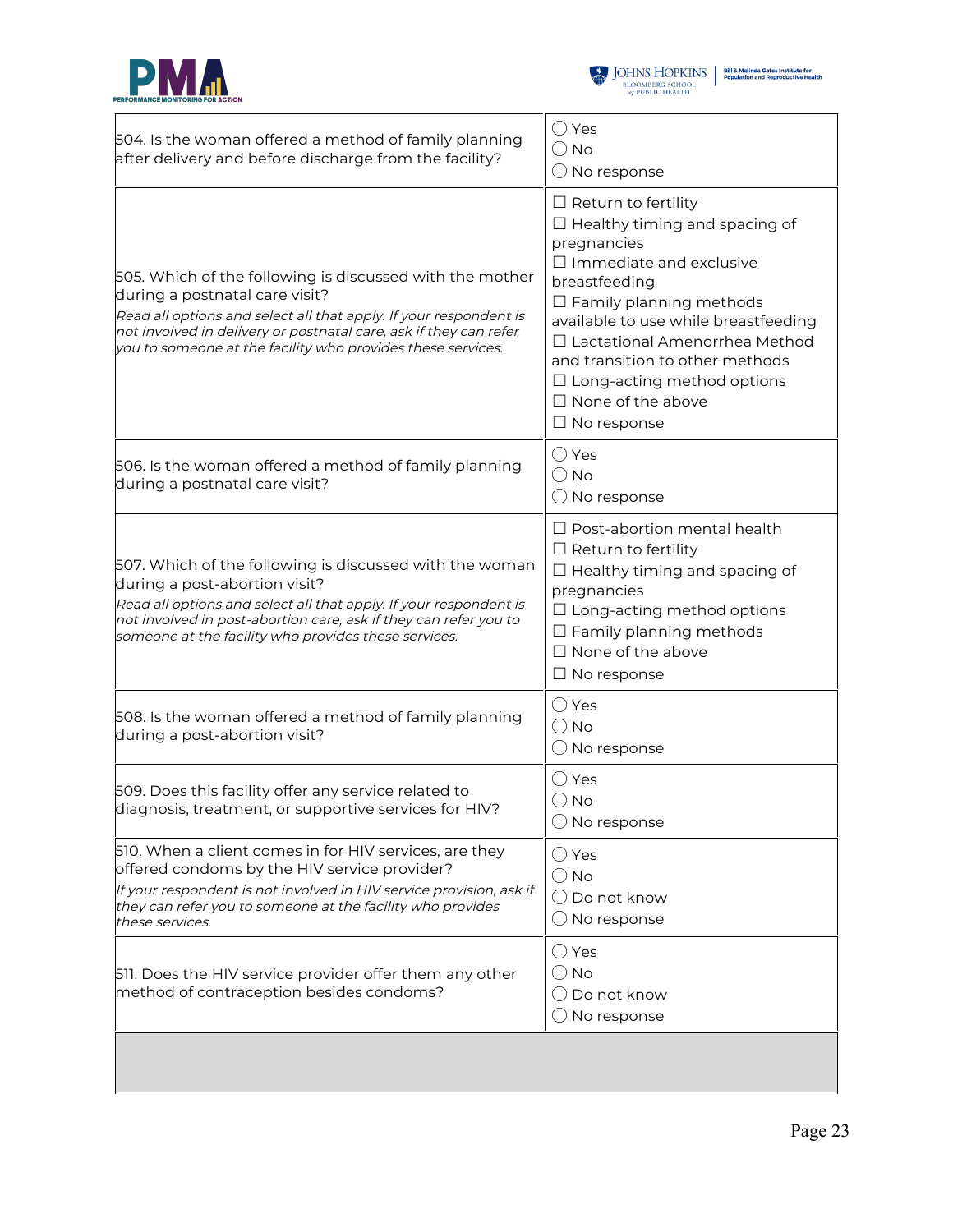



| 504. Is the woman offered a method of family planning<br>after delivery and before discharge from the facility?                                                                                                                                                                                     | $\bigcirc$ Yes<br>$\bigcirc$ No<br>$\bigcirc$ No response                                                                                                                                                                                                                                                                                                                        |
|-----------------------------------------------------------------------------------------------------------------------------------------------------------------------------------------------------------------------------------------------------------------------------------------------------|----------------------------------------------------------------------------------------------------------------------------------------------------------------------------------------------------------------------------------------------------------------------------------------------------------------------------------------------------------------------------------|
| 505. Which of the following is discussed with the mother<br>during a postnatal care visit?<br>Read all options and select all that apply. If your respondent is<br>not involved in delivery or postnatal care, ask if they can refer<br>you to someone at the facility who provides these services. | $\Box$ Return to fertility<br>$\Box$ Healthy timing and spacing of<br>pregnancies<br>$\Box$ Immediate and exclusive<br>breastfeeding<br>$\Box$ Family planning methods<br>available to use while breastfeeding<br>$\Box$ Lactational Amenorrhea Method<br>and transition to other methods<br>$\Box$ Long-acting method options<br>$\Box$ None of the above<br>$\Box$ No response |
| 506. Is the woman offered a method of family planning<br>during a postnatal care visit?                                                                                                                                                                                                             | $\bigcirc$ Yes<br>$\bigcirc$ No<br>$\bigcirc$ No response                                                                                                                                                                                                                                                                                                                        |
| 507. Which of the following is discussed with the woman<br>during a post-abortion visit?<br>Read all options and select all that apply. If your respondent is<br>not involved in post-abortion care, ask if they can refer you to<br>someone at the facility who provides these services.           | $\Box$ Post-abortion mental health<br>$\Box$ Return to fertility<br>$\Box$ Healthy timing and spacing of<br>pregnancies<br>$\Box$ Long-acting method options<br>$\Box$ Family planning methods<br>$\Box$ None of the above<br>$\Box$ No response                                                                                                                                 |
| 508. Is the woman offered a method of family planning<br>during a post-abortion visit?                                                                                                                                                                                                              | $\bigcirc$ Yes<br>$\bigcirc$ No<br>$\bigcirc$ No response                                                                                                                                                                                                                                                                                                                        |
| 509. Does this facility offer any service related to<br>diagnosis, treatment, or supportive services for HIV?                                                                                                                                                                                       | $\bigcirc$ Yes<br>$\bigcirc$ No<br>$\bigcirc$ No response                                                                                                                                                                                                                                                                                                                        |
| 510. When a client comes in for HIV services, are they<br>offered condoms by the HIV service provider?<br>If your respondent is not involved in HIV service provision, ask if<br>they can refer you to someone at the facility who provides<br>these services.                                      | $\bigcirc$ Yes<br>$\bigcirc$ No<br>$\bigcirc$ Do not know<br>$\bigcirc$ No response                                                                                                                                                                                                                                                                                              |
| 511. Does the HIV service provider offer them any other<br>method of contraception besides condoms?                                                                                                                                                                                                 | $\bigcirc$ Yes<br>$\bigcirc$ No<br>$\bigcirc$ Do not know<br>$\bigcirc$ No response                                                                                                                                                                                                                                                                                              |
|                                                                                                                                                                                                                                                                                                     |                                                                                                                                                                                                                                                                                                                                                                                  |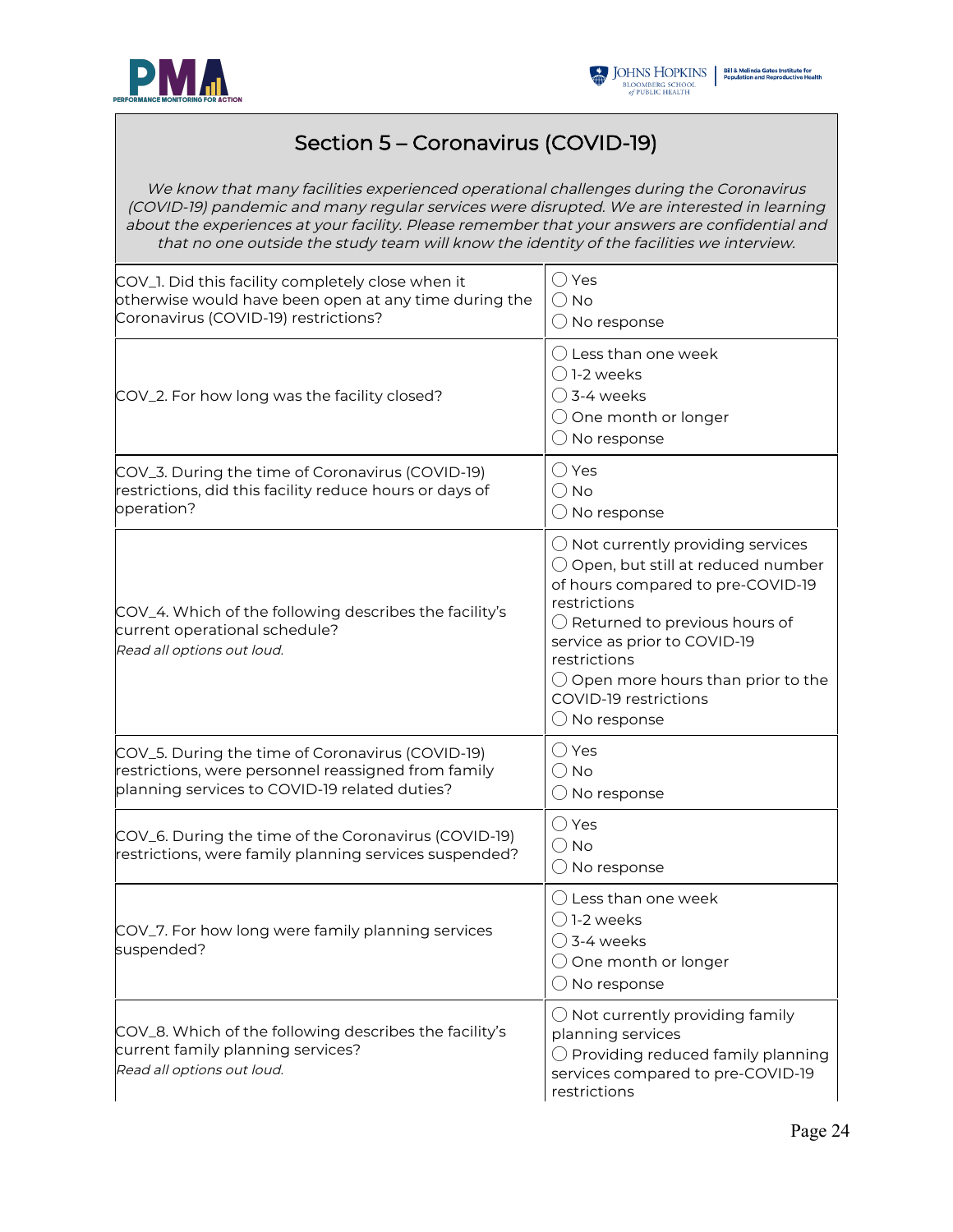



## Section 5 – Coronavirus (COVID-19)

We know that many facilities experienced operational challenges during the Coronavirus (COVID-19) pandemic and many regular services were disrupted. We are interested in learning about the experiences at your facility. Please remember that your answers are confidential and that no one outside the study team will know the identity of the facilities we interview.

| COV_1. Did this facility completely close when it<br>otherwise would have been open at any time during the<br>Coronavirus (COVID-19) restrictions?       | ◯ Yes<br>$\bigcirc$ No<br>$\bigcirc$ No response                                                                                                                                                                                                                                                                                                |
|----------------------------------------------------------------------------------------------------------------------------------------------------------|-------------------------------------------------------------------------------------------------------------------------------------------------------------------------------------------------------------------------------------------------------------------------------------------------------------------------------------------------|
| COV_2. For how long was the facility closed?                                                                                                             | $\bigcirc$ Less than one week<br>$\bigcap$ 1-2 weeks<br>$\bigcirc$ 3-4 weeks<br>$\bigcirc$ One month or longer<br>$\bigcirc$ No response                                                                                                                                                                                                        |
| COV_3. During the time of Coronavirus (COVID-19)<br>restrictions, did this facility reduce hours or days of<br>operation?                                | $\bigcirc$ Yes<br>$\bigcirc$ No<br>$\bigcirc$ No response                                                                                                                                                                                                                                                                                       |
| COV_4. Which of the following describes the facility's<br>current operational schedule?<br>Read all options out loud.                                    | $\bigcirc$ Not currently providing services<br>$\bigcirc$ Open, but still at reduced number<br>of hours compared to pre-COVID-19<br>restrictions<br>$\bigcirc$ Returned to previous hours of<br>service as prior to COVID-19<br>restrictions<br>$\bigcirc$ Open more hours than prior to the<br>COVID-19 restrictions<br>$\bigcirc$ No response |
| COV_5. During the time of Coronavirus (COVID-19)<br>restrictions, were personnel reassigned from family<br>planning services to COVID-19 related duties? | $\bigcirc$ Yes<br>$\bigcirc$ No<br>$\bigcirc$ No response                                                                                                                                                                                                                                                                                       |
| COV_6. During the time of the Coronavirus (COVID-19)<br>restrictions, were family planning services suspended?                                           | $\bigcirc$ Yes<br>$\bigcirc$ No<br>$\bigcirc$ No response                                                                                                                                                                                                                                                                                       |
| COV_7. For how long were family planning services<br>suspended?                                                                                          | $\bigcirc$ Less than one week<br>$()$ 1-2 weeks<br>$\bigcirc$ 3-4 weeks<br>$\bigcirc$ One month or longer<br>$\bigcirc$ No response                                                                                                                                                                                                             |
| COV_8. Which of the following describes the facility's<br>current family planning services?<br>Read all options out loud.                                | $\bigcirc$ Not currently providing family<br>planning services<br>$\bigcirc$ Providing reduced family planning<br>services compared to pre-COVID-19<br>restrictions                                                                                                                                                                             |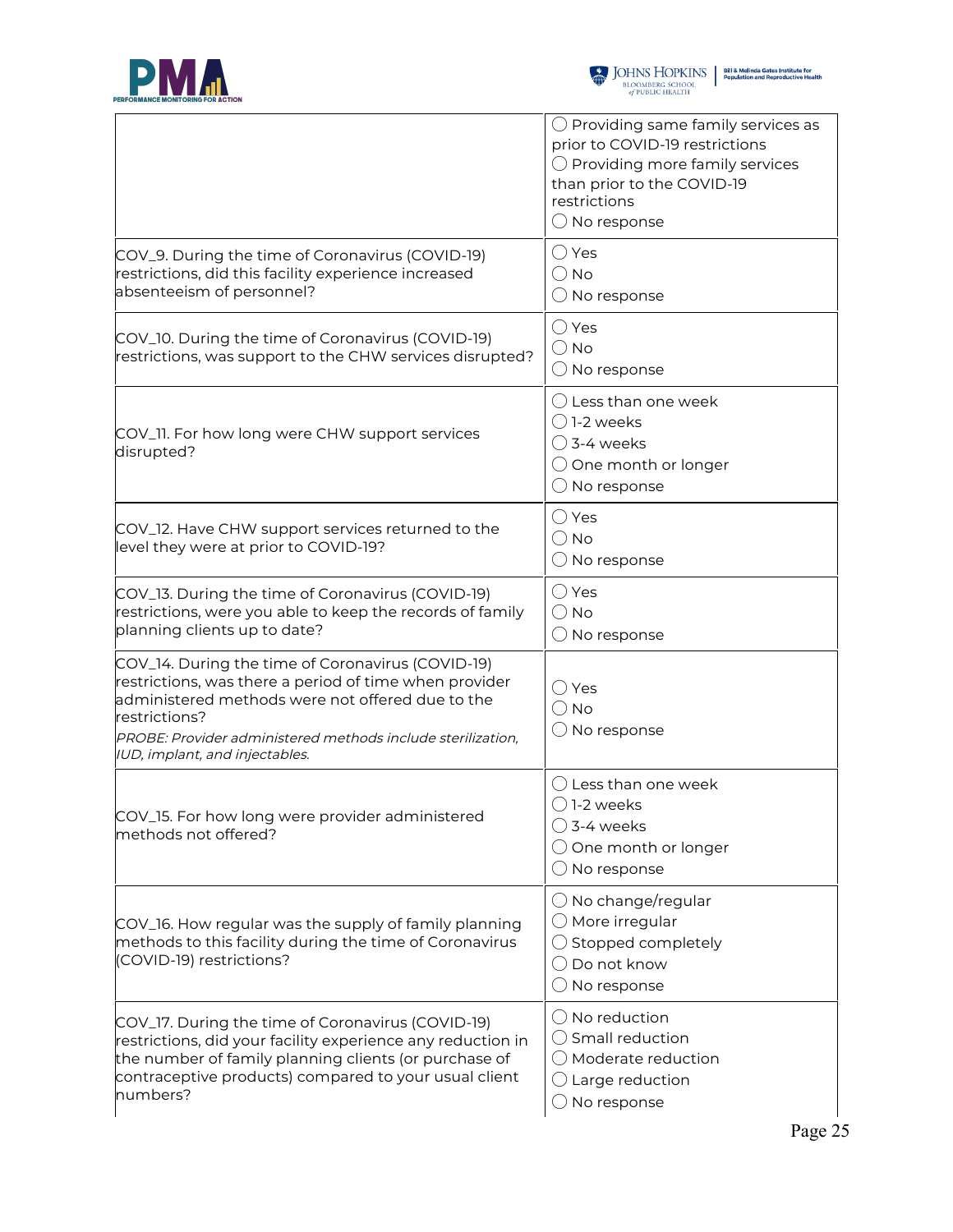



|                                                                                                                                                                                                                                                                                   | $\bigcirc$ Providing same family services as<br>prior to COVID-19 restrictions<br>$\bigcirc$ Providing more family services<br>than prior to the COVID-19<br>restrictions<br>$\bigcirc$ No response |
|-----------------------------------------------------------------------------------------------------------------------------------------------------------------------------------------------------------------------------------------------------------------------------------|-----------------------------------------------------------------------------------------------------------------------------------------------------------------------------------------------------|
| COV_9. During the time of Coronavirus (COVID-19)<br>restrictions, did this facility experience increased<br>absenteeism of personnel?                                                                                                                                             | $\bigcirc$ Yes<br>$\bigcirc$ No<br>$\bigcirc$ No response                                                                                                                                           |
| COV_10. During the time of Coronavirus (COVID-19)<br>restrictions, was support to the CHW services disrupted?                                                                                                                                                                     | $\bigcirc$ Yes<br>$\bigcirc$ No<br>$\bigcirc$ No response                                                                                                                                           |
| COV_11. For how long were CHW support services<br>disrupted?                                                                                                                                                                                                                      | $\bigcirc$ Less than one week<br>$\bigcirc$ 1-2 weeks<br>$\bigcirc$ 3-4 weeks<br>$\bigcirc$ One month or longer<br>$\bigcirc$ No response                                                           |
| COV_12. Have CHW support services returned to the<br>level they were at prior to COVID-19?                                                                                                                                                                                        | $\bigcirc$ Yes<br>$\bigcirc$ No<br>$\bigcirc$ No response                                                                                                                                           |
| COV_13. During the time of Coronavirus (COVID-19)<br>restrictions, were you able to keep the records of family<br>planning clients up to date?                                                                                                                                    | $\bigcirc$ Yes<br>$\bigcirc$ No<br>$\bigcirc$ No response                                                                                                                                           |
| COV_14. During the time of Coronavirus (COVID-19)<br>restrictions, was there a period of time when provider<br>administered methods were not offered due to the<br>restrictions?<br>PROBE: Provider administered methods include sterilization,<br>IUD, implant, and injectables. | $\bigcirc$ Yes<br>$\bigcirc$ No<br>$\bigcirc$ No response                                                                                                                                           |
| COV_15. For how long were provider administered<br>methods not offered?                                                                                                                                                                                                           | () Less than one week<br>$\bigcirc$ 1-2 weeks<br>$\bigcirc$ 3-4 weeks<br>$\bigcirc$ One month or longer<br>$\bigcirc$ No response                                                                   |
| COV_16. How regular was the supply of family planning<br>methods to this facility during the time of Coronavirus<br>(COVID-19) restrictions?                                                                                                                                      | $\bigcirc$ No change/regular<br>$\bigcirc$ More irregular<br>$\bigcirc$ Stopped completely<br>$\bigcirc$ Do not know<br>$\bigcirc$ No response                                                      |
| COV_17. During the time of Coronavirus (COVID-19)<br>restrictions, did your facility experience any reduction in<br>the number of family planning clients (or purchase of<br>contraceptive products) compared to your usual client<br>numbers?                                    | $\bigcirc$ No reduction<br>$\bigcirc$ Small reduction<br>◯ Moderate reduction<br>$\bigcirc$ Large reduction<br>$\bigcirc$ No response                                                               |